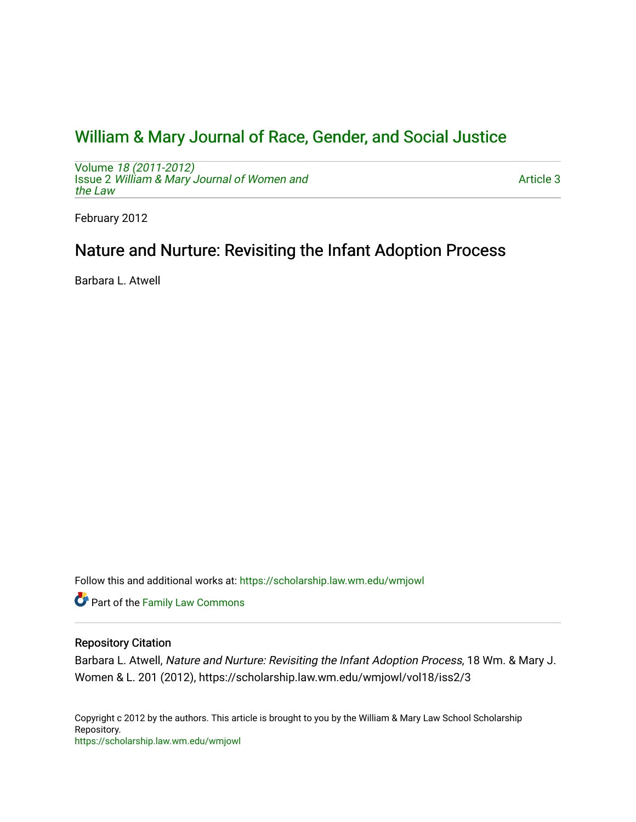# [William & Mary Journal of Race, Gender, and Social Justice](https://scholarship.law.wm.edu/wmjowl)

Volume [18 \(2011-2012\)](https://scholarship.law.wm.edu/wmjowl/vol18)  Issue 2 [William & Mary Journal of Women and](https://scholarship.law.wm.edu/wmjowl/vol18/iss2) [the Law](https://scholarship.law.wm.edu/wmjowl/vol18/iss2)

[Article 3](https://scholarship.law.wm.edu/wmjowl/vol18/iss2/3) 

February 2012

# Nature and Nurture: Revisiting the Infant Adoption Process

Barbara L. Atwell

Follow this and additional works at: [https://scholarship.law.wm.edu/wmjowl](https://scholarship.law.wm.edu/wmjowl?utm_source=scholarship.law.wm.edu%2Fwmjowl%2Fvol18%2Fiss2%2F3&utm_medium=PDF&utm_campaign=PDFCoverPages) 

Part of the [Family Law Commons](http://network.bepress.com/hgg/discipline/602?utm_source=scholarship.law.wm.edu%2Fwmjowl%2Fvol18%2Fiss2%2F3&utm_medium=PDF&utm_campaign=PDFCoverPages) 

# Repository Citation

Barbara L. Atwell, Nature and Nurture: Revisiting the Infant Adoption Process, 18 Wm. & Mary J. Women & L. 201 (2012), https://scholarship.law.wm.edu/wmjowl/vol18/iss2/3

Copyright c 2012 by the authors. This article is brought to you by the William & Mary Law School Scholarship Repository. <https://scholarship.law.wm.edu/wmjowl>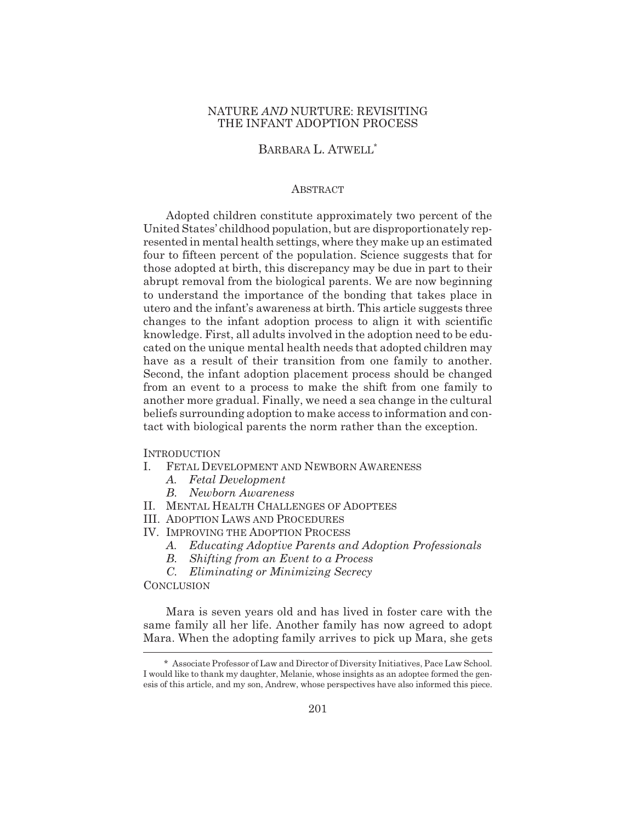## NATURE *AND* NURTURE: REVISITING THE INFANT ADOPTION PROCESS

BARBARA L. ATWELL<sup>\*</sup>

## ABSTRACT

Adopted children constitute approximately two percent of the United States' childhood population, but are disproportionately represented in mental health settings, where they make up an estimated four to fifteen percent of the population. Science suggests that for those adopted at birth, this discrepancy may be due in part to their abrupt removal from the biological parents. We are now beginning to understand the importance of the bonding that takes place in utero and the infant's awareness at birth. This article suggests three changes to the infant adoption process to align it with scientific knowledge. First, all adults involved in the adoption need to be educated on the unique mental health needs that adopted children may have as a result of their transition from one family to another. Second, the infant adoption placement process should be changed from an event to a process to make the shift from one family to another more gradual. Finally, we need a sea change in the cultural beliefs surrounding adoption to make access to information and contact with biological parents the norm rather than the exception.

**INTRODUCTION** 

- I. FETAL DEVELOPMENT AND NEWBORN AWARENESS
	- *A. Fetal Development*
	- *B. Newborn Awareness*
- II. MENTAL HEALTH CHALLENGES OF ADOPTEES
- III. ADOPTION LAWS AND PROCEDURES
- IV. IMPROVING THE ADOPTION PROCESS
	- *A. Educating Adoptive Parents and Adoption Professionals*
	- *B. Shifting from an Event to a Process*
	- *C. Eliminating or Minimizing Secrecy*

**CONCLUSION** 

Mara is seven years old and has lived in foster care with the same family all her life. Another family has now agreed to adopt Mara. When the adopting family arrives to pick up Mara, she gets

<sup>\*</sup> Associate Professor of Law and Director of Diversity Initiatives, Pace Law School. I would like to thank my daughter, Melanie, whose insights as an adoptee formed the genesis of this article, and my son, Andrew, whose perspectives have also informed this piece.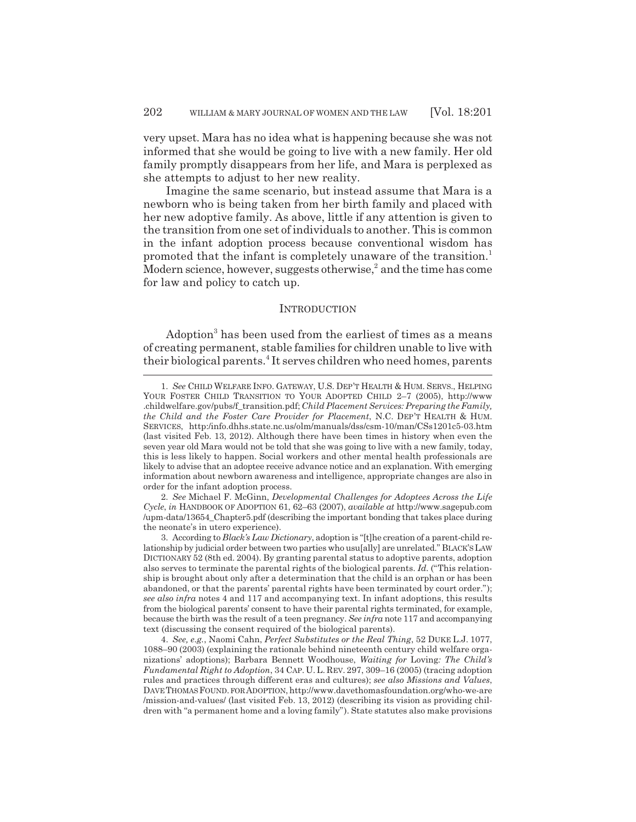very upset. Mara has no idea what is happening because she was not informed that she would be going to live with a new family. Her old family promptly disappears from her life, and Mara is perplexed as she attempts to adjust to her new reality.

Imagine the same scenario, but instead assume that Mara is a newborn who is being taken from her birth family and placed with her new adoptive family. As above, little if any attention is given to the transition from one set of individuals to another. This is common in the infant adoption process because conventional wisdom has promoted that the infant is completely unaware of the transition.<sup>1</sup> Modern science, however, suggests otherwise, $^2$  and the time has come for law and policy to catch up.

### **INTRODUCTION**

Adoption<sup>3</sup> has been used from the earliest of times as a means of creating permanent, stable families for children unable to live with their biological parents.<sup>4</sup> It serves children who need homes, parents

<sup>1.</sup> *See* CHILD WELFARE INFO. GATEWAY, U.S. DEP'T HEALTH & HUM. SERVS., HELPING YOUR FOSTER CHILD TRANSITION TO YOUR ADOPTED CHILD 2–7 (2005), http://www .childwelfare.gov/pubs/f\_transition.pdf; *Child Placement Services: Preparing the Family, the Child and the Foster Care Provider for Placement*, N.C. DEP'T HEALTH & HUM. SERVICES, http:/info.dhhs.state.nc.us/olm/manuals/dss/csm-10/man/CSs1201c5-03.htm (last visited Feb. 13, 2012). Although there have been times in history when even the seven year old Mara would not be told that she was going to live with a new family, today, this is less likely to happen. Social workers and other mental health professionals are likely to advise that an adoptee receive advance notice and an explanation. With emerging information about newborn awareness and intelligence, appropriate changes are also in order for the infant adoption process.

<sup>2.</sup> *See* Michael F. McGinn, *Developmental Challenges for Adoptees Across the Life Cycle*, *in* HANDBOOK OF ADOPTION 61, 62–63 (2007), *available at* http://www.sagepub.com /upm-data/13654\_Chapter5.pdf (describing the important bonding that takes place during the neonate's in utero experience).

<sup>3.</sup> According to *Black's Law Dictionary*, adoption is "[t]he creation of a parent-child relationship by judicial order between two parties who usu[ally] are unrelated." BLACK'S LAW DICTIONARY 52 (8th ed. 2004). By granting parental status to adoptive parents, adoption also serves to terminate the parental rights of the biological parents. *Id.* ("This relationship is brought about only after a determination that the child is an orphan or has been abandoned, or that the parents' parental rights have been terminated by court order."); *see also infra* notes 4 and 117 and accompanying text. In infant adoptions, this results from the biological parents' consent to have their parental rights terminated, for example, because the birth was the result of a teen pregnancy. *See infra* note 117 and accompanying text (discussing the consent required of the biological parents).

<sup>4.</sup> *See, e.g.*, Naomi Cahn, *Perfect Substitutes or the Real Thing*, 52 DUKE L.J. 1077, 1088–90 (2003) (explaining the rationale behind nineteenth century child welfare organizations' adoptions); Barbara Bennett Woodhouse, *Waiting for* Loving*: The Child's Fundamental Right to Adoption*, 34 CAP. U.L. REV. 297, 309–16 (2005) (tracing adoption rules and practices through different eras and cultures); *see also Missions and Values*, DAVE THOMAS FOUND. FOR ADOPTION, http://www.davethomasfoundation.org/who-we-are /mission-and-values/ (last visited Feb. 13, 2012) (describing its vision as providing children with "a permanent home and a loving family"). State statutes also make provisions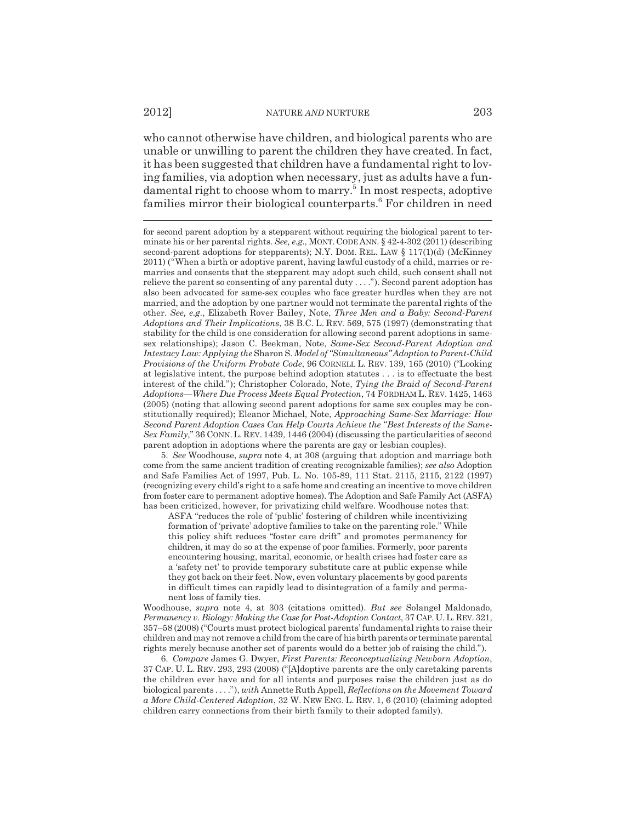who cannot otherwise have children, and biological parents who are unable or unwilling to parent the children they have created. In fact, it has been suggested that children have a fundamental right to loving families, via adoption when necessary, just as adults have a fundamental right to choose whom to marry.<sup>5</sup> In most respects, adoptive families mirror their biological counterparts.<sup>6</sup> For children in need

for second parent adoption by a stepparent without requiring the biological parent to terminate his or her parental rights. *See, e.g.*, MONT. CODE ANN. § 42-4-302 (2011) (describing second-parent adoptions for stepparents); N.Y. DOM. REL. LAW § 117(1)(d) (McKinney 2011) ("When a birth or adoptive parent, having lawful custody of a child, marries or remarries and consents that the stepparent may adopt such child, such consent shall not relieve the parent so consenting of any parental duty  $\dots$ "). Second parent adoption has also been advocated for same-sex couples who face greater hurdles when they are not married, and the adoption by one partner would not terminate the parental rights of the other. *See, e.g.*, Elizabeth Rover Bailey, Note, *Three Men and a Baby: Second-Parent Adoptions and Their Implications*, 38 B.C. L. REV. 569, 575 (1997) (demonstrating that stability for the child is one consideration for allowing second parent adoptions in samesex relationships); Jason C. Beekman, Note, *Same-Sex Second-Parent Adoption and Intestacy Law: Applying the* Sharon S. *Model of "Simultaneous" Adoption to Parent-Child Provisions of the Uniform Probate Code*, 96 CORNELL L. REV. 139, 165 (2010) ("Looking at legislative intent, the purpose behind adoption statutes . . . is to effectuate the best interest of the child."); Christopher Colorado, Note, *Tying the Braid of Second-Parent Adoptions—Where Due Process Meets Equal Protection*, 74 FORDHAM L. REV. 1425, 1463 (2005) (noting that allowing second parent adoptions for same sex couples may be constitutionally required); Eleanor Michael, Note, *Approaching Same-Sex Marriage: How Second Parent Adoption Cases Can Help Courts Achieve the "Best Interests of the Same-Sex Family*," 36 CONN.L. REV. 1439, 1446 (2004) (discussing the particularities of second parent adoption in adoptions where the parents are gay or lesbian couples).

5. *See* Woodhouse, *supra* note 4, at 308 (arguing that adoption and marriage both come from the same ancient tradition of creating recognizable families); *see also* Adoption and Safe Families Act of 1997, Pub. L. No. 105-89, 111 Stat. 2115, 2115, 2122 (1997) (recognizing every child's right to a safe home and creating an incentive to move children from foster care to permanent adoptive homes). The Adoption and Safe Family Act (ASFA) has been criticized, however, for privatizing child welfare. Woodhouse notes that:

ASFA "reduces the role of 'public' fostering of children while incentivizing formation of 'private' adoptive families to take on the parenting role." While this policy shift reduces "foster care drift" and promotes permanency for children, it may do so at the expense of poor families. Formerly, poor parents encountering housing, marital, economic, or health crises had foster care as a 'safety net' to provide temporary substitute care at public expense while they got back on their feet. Now, even voluntary placements by good parents in difficult times can rapidly lead to disintegration of a family and permanent loss of family ties.

Woodhouse, *supra* note 4, at 303 (citations omitted). *But see* Solangel Maldonado, *Permanency v. Biology: Making the Case for Post-Adoption Contact*, 37 CAP. U.L. REV. 321, 357–58 (2008) ("Courts must protect biological parents' fundamental rights to raise their children and may not remove a child from the care of his birth parents or terminate parental rights merely because another set of parents would do a better job of raising the child.").

6. *Compare* James G. Dwyer, *First Parents: Reconceptualizing Newborn Adoption*, 37 CAP. U. L. REV. 293, 293 (2008) ("[A]doptive parents are the only caretaking parents the children ever have and for all intents and purposes raise the children just as do biological parents . . . ."), *with* Annette Ruth Appell, *Reflections on the Movement Toward a More Child-Centered Adoption*, 32 W. NEW ENG. L. REV. 1, 6 (2010) (claiming adopted children carry connections from their birth family to their adopted family).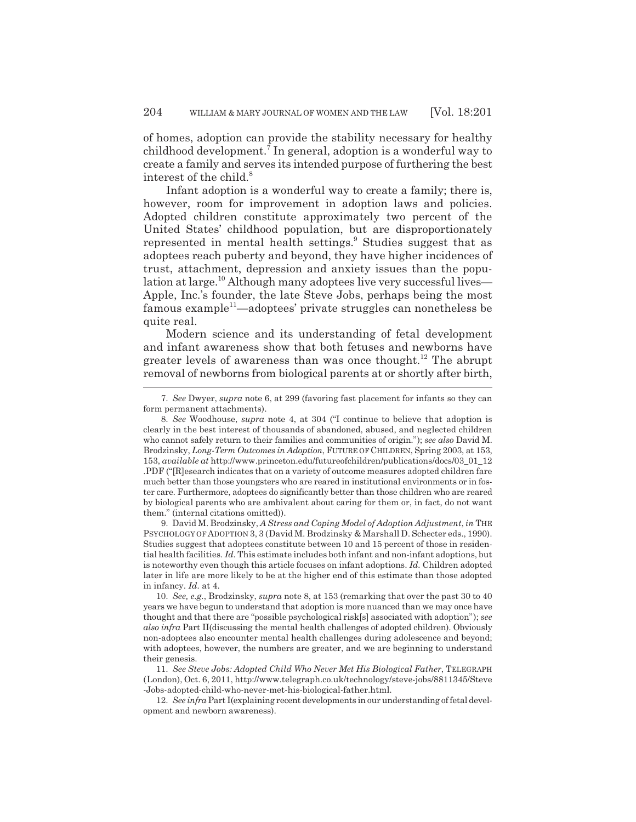of homes, adoption can provide the stability necessary for healthy childhood development.7 In general, adoption is a wonderful way to create a family and serves its intended purpose of furthering the best interest of the child.<sup>8</sup>

Infant adoption is a wonderful way to create a family; there is, however, room for improvement in adoption laws and policies. Adopted children constitute approximately two percent of the United States' childhood population, but are disproportionately represented in mental health settings.<sup>9</sup> Studies suggest that as adoptees reach puberty and beyond, they have higher incidences of trust, attachment, depression and anxiety issues than the population at large.<sup>10</sup> Although many adoptees live very successful lives— Apple, Inc.'s founder, the late Steve Jobs, perhaps being the most famous example<sup>11</sup>—adoptees' private struggles can nonetheless be quite real.

Modern science and its understanding of fetal development and infant awareness show that both fetuses and newborns have greater levels of awareness than was once thought.<sup>12</sup> The abrupt removal of newborns from biological parents at or shortly after birth,

9. David M. Brodzinsky, *A Stress and Coping Model of Adoption Adjustment*, *in* THE PSYCHOLOGY OF ADOPTION 3, 3 (David M. Brodzinsky & Marshall D. Schecter eds., 1990). Studies suggest that adoptees constitute between 10 and 15 percent of those in residential health facilities. *Id.* This estimate includes both infant and non-infant adoptions, but is noteworthy even though this article focuses on infant adoptions. *Id.* Children adopted later in life are more likely to be at the higher end of this estimate than those adopted in infancy. *Id.* at 4.

10. *See, e.g.*, Brodzinsky, *supra* note 8, at 153 (remarking that over the past 30 to 40 years we have begun to understand that adoption is more nuanced than we may once have thought and that there are "possible psychological risk[s] associated with adoption"); *see also infra* Part II(discussing the mental health challenges of adopted children). Obviously non-adoptees also encounter mental health challenges during adolescence and beyond; with adoptees, however, the numbers are greater, and we are beginning to understand their genesis.

11. *See Steve Jobs: Adopted Child Who Never Met His Biological Father*, TELEGRAPH (London), Oct. 6, 2011, http://www.telegraph.co.uk/technology/steve-jobs/8811345/Steve -Jobs-adopted-child-who-never-met-his-biological-father.html.

12. *See infra* Part I(explaining recent developments in our understanding of fetal development and newborn awareness).

<sup>7.</sup> *See* Dwyer, *supra* note 6, at 299 (favoring fast placement for infants so they can form permanent attachments).

<sup>8.</sup> *See* Woodhouse, *supra* note 4, at 304 ("I continue to believe that adoption is clearly in the best interest of thousands of abandoned, abused, and neglected children who cannot safely return to their families and communities of origin."); *see also* David M. Brodzinsky, *Long-Term Outcomes in Adoption*, FUTURE OF CHILDREN, Spring 2003, at 153, 153, *available at* http://www.princeton.edu/futureofchildren/publications/docs/03\_01\_12 .PDF ("[R]esearch indicates that on a variety of outcome measures adopted children fare much better than those youngsters who are reared in institutional environments or in foster care. Furthermore, adoptees do significantly better than those children who are reared by biological parents who are ambivalent about caring for them or, in fact, do not want them." (internal citations omitted)).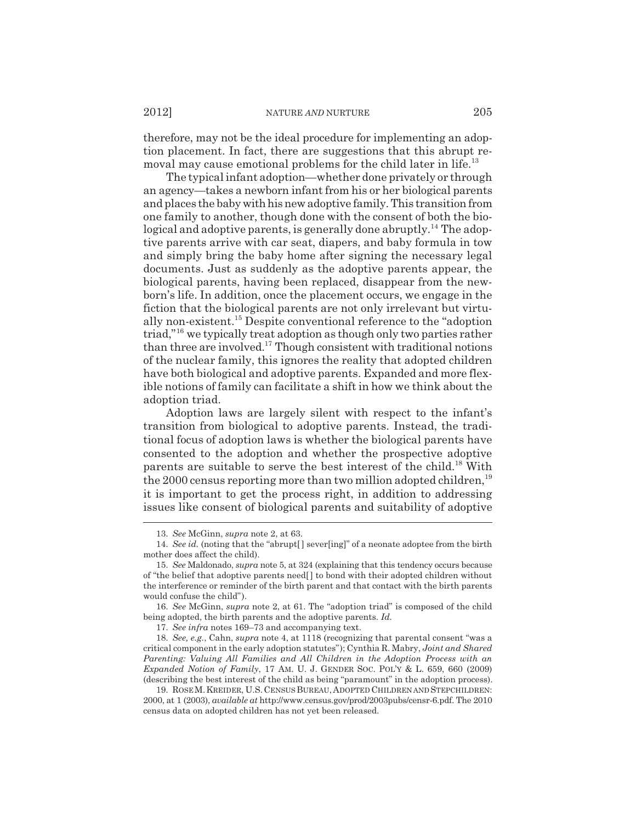therefore, may not be the ideal procedure for implementing an adoption placement. In fact, there are suggestions that this abrupt removal may cause emotional problems for the child later in life.<sup>13</sup>

The typical infant adoption—whether done privately or through an agency—takes a newborn infant from his or her biological parents and places the baby with his new adoptive family. This transition from one family to another, though done with the consent of both the biological and adoptive parents, is generally done abruptly.<sup>14</sup> The adoptive parents arrive with car seat, diapers, and baby formula in tow and simply bring the baby home after signing the necessary legal documents. Just as suddenly as the adoptive parents appear, the biological parents, having been replaced, disappear from the newborn's life. In addition, once the placement occurs, we engage in the fiction that the biological parents are not only irrelevant but virtually non-existent.15 Despite conventional reference to the "adoption triad,"16 we typically treat adoption as though only two parties rather than three are involved.17 Though consistent with traditional notions of the nuclear family, this ignores the reality that adopted children have both biological and adoptive parents. Expanded and more flexible notions of family can facilitate a shift in how we think about the adoption triad.

Adoption laws are largely silent with respect to the infant's transition from biological to adoptive parents. Instead, the traditional focus of adoption laws is whether the biological parents have consented to the adoption and whether the prospective adoptive parents are suitable to serve the best interest of the child.18 With the 2000 census reporting more than two million adopted children,  $19$ it is important to get the process right, in addition to addressing issues like consent of biological parents and suitability of adoptive

<sup>13.</sup> *See* McGinn, *supra* note 2, at 63.

<sup>14.</sup> *See id.* (noting that the "abrupt[ ] sever[ing]" of a neonate adoptee from the birth mother does affect the child).

<sup>15.</sup> *See* Maldonado, *supra* note 5, at 324 (explaining that this tendency occurs because of "the belief that adoptive parents need[ ] to bond with their adopted children without the interference or reminder of the birth parent and that contact with the birth parents would confuse the child").

<sup>16.</sup> *See* McGinn, *supra* note 2, at 61. The "adoption triad" is composed of the child being adopted, the birth parents and the adoptive parents. *Id.*

<sup>17.</sup> *See infra* notes 169–73 and accompanying text.

<sup>18.</sup> *See, e.g.*, Cahn, *supra* note 4, at 1118 (recognizing that parental consent "was a critical component in the early adoption statutes"); Cynthia R. Mabry, *Joint and Shared Parenting: Valuing All Families and All Children in the Adoption Process with an Expanded Notion of Family*, 17 AM. U. J. GENDER SOC. POL'Y & L. 659, 660 (2009) (describing the best interest of the child as being "paramount" in the adoption process).

<sup>19.</sup> ROSE M.KREIDER, U.S.CENSUS BUREAU,ADOPTED CHILDREN AND STEPCHILDREN: 2000, at 1 (2003), *available at* http://www.census.gov/prod/2003pubs/censr-6.pdf. The 2010 census data on adopted children has not yet been released.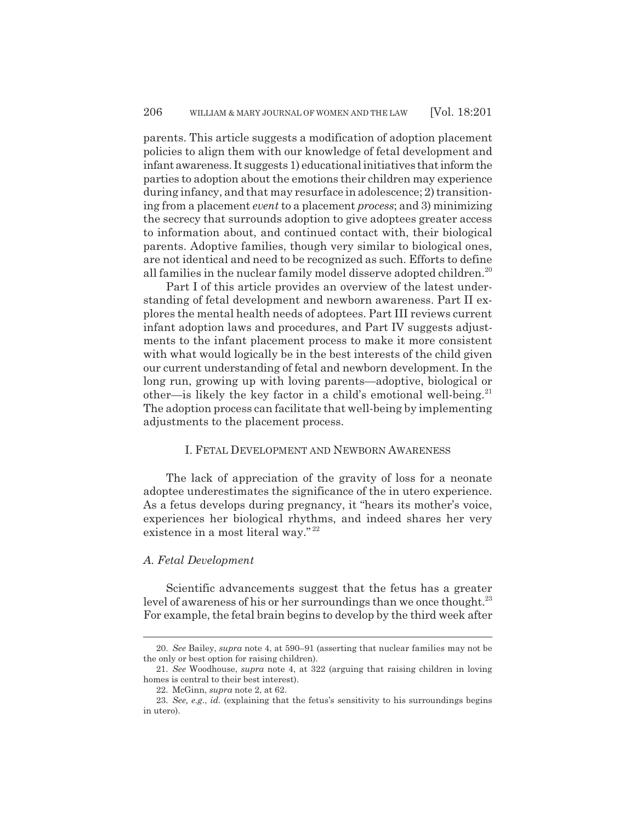parents. This article suggests a modification of adoption placement policies to align them with our knowledge of fetal development and infant awareness. It suggests 1) educational initiatives that inform the parties to adoption about the emotions their children may experience during infancy, and that may resurface in adolescence; 2) transitioning from a placement *event* to a placement *process*; and 3) minimizing the secrecy that surrounds adoption to give adoptees greater access to information about, and continued contact with, their biological parents. Adoptive families, though very similar to biological ones, are not identical and need to be recognized as such. Efforts to define all families in the nuclear family model disserve adopted children.<sup>20</sup>

Part I of this article provides an overview of the latest understanding of fetal development and newborn awareness. Part II explores the mental health needs of adoptees. Part III reviews current infant adoption laws and procedures, and Part IV suggests adjustments to the infant placement process to make it more consistent with what would logically be in the best interests of the child given our current understanding of fetal and newborn development. In the long run, growing up with loving parents—adoptive, biological or other—is likely the key factor in a child's emotional well-being.<sup>21</sup> The adoption process can facilitate that well-being by implementing adjustments to the placement process.

# I. FETAL DEVELOPMENT AND NEWBORN AWARENESS

The lack of appreciation of the gravity of loss for a neonate adoptee underestimates the significance of the in utero experience. As a fetus develops during pregnancy, it "hears its mother's voice, experiences her biological rhythms, and indeed shares her very existence in a most literal way."<sup>22</sup>

#### *A. Fetal Development*

Scientific advancements suggest that the fetus has a greater level of awareness of his or her surroundings than we once thought. $^{23}$ For example, the fetal brain begins to develop by the third week after

<sup>20.</sup> *See* Bailey, *supra* note 4, at 590–91 (asserting that nuclear families may not be the only or best option for raising children).

<sup>21.</sup> *See* Woodhouse, *supra* note 4, at 322 (arguing that raising children in loving homes is central to their best interest).

<sup>22.</sup> McGinn, *supra* note 2, at 62.

<sup>23.</sup> *See, e.g.*, *id.* (explaining that the fetus's sensitivity to his surroundings begins in utero).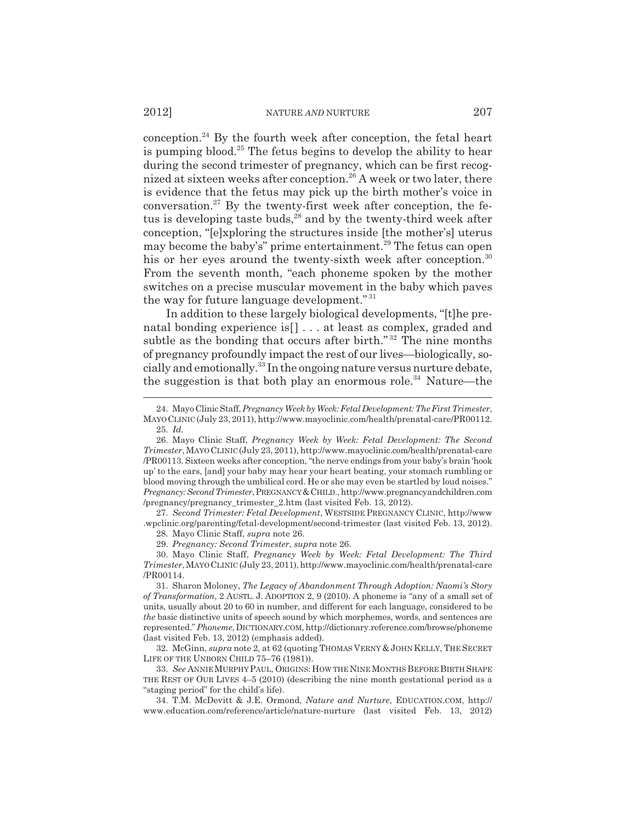conception. $24$  By the fourth week after conception, the fetal heart is pumping blood.<sup>25</sup> The fetus begins to develop the ability to hear during the second trimester of pregnancy, which can be first recognized at sixteen weeks after conception.26 A week or two later, there is evidence that the fetus may pick up the birth mother's voice in conversation. $27$  By the twenty-first week after conception, the fetus is developing taste buds,<sup>28</sup> and by the twenty-third week after conception, "[e]xploring the structures inside [the mother's] uterus may become the baby's" prime entertainment.<sup>29</sup> The fetus can open his or her eyes around the twenty-sixth week after conception.<sup>30</sup> From the seventh month, "each phoneme spoken by the mother switches on a precise muscular movement in the baby which paves the way for future language development." <sup>31</sup>

In addition to these largely biological developments, "[t]he prenatal bonding experience is[] . . . at least as complex, graded and subtle as the bonding that occurs after birth."<sup>32</sup> The nine months of pregnancy profoundly impact the rest of our lives—biologically, socially and emotionally.33 In the ongoing nature versus nurture debate, the suggestion is that both play an enormous role.<sup>34</sup> Nature—the

27. *Second Trimester: Fetal Development*, WESTSIDE PREGNANCY CLINIC, http://www .wpclinic.org/parenting/fetal-development/second-trimester (last visited Feb. 13, 2012).

28. Mayo Clinic Staff, *supra* note 26.

29. *Pregnancy: Second Trimester*, *supra* note 26.

30. Mayo Clinic Staff, *Pregnancy Week by Week: Fetal Development: The Third Trimester*, MAYO CLINIC (July 23, 2011), http://www.mayoclinic.com/health/prenatal-care /PR00114.

32. McGinn, *supra* note 2, at 62 (quoting THOMAS VERNY & JOHN KELLY, THE SECRET LIFE OF THE UNBORN CHILD 75–76 (1981)).

33. *See* ANNIE MURPHY PAUL, ORIGINS: HOW THE NINE MONTHS BEFORE BIRTH SHAPE THE REST OF OUR LIVES 4–5 (2010) (describing the nine month gestational period as a "staging period" for the child's life).

34. T.M. McDevitt & J.E. Ormond, *Nature and Nurture*, EDUCATION.COM, http:// www.education.com/reference/article/nature-nurture (last visited Feb. 13, 2012)

<sup>24.</sup> Mayo Clinic Staff, *Pregnancy Week by Week: Fetal Development: The First Trimester*, MAYO CLINIC (July 23, 2011), http://www.mayoclinic.com/health/prenatal-care/PR00112. 25. *Id.*

<sup>26.</sup> Mayo Clinic Staff, *Pregnancy Week by Week: Fetal Development: The Second Trimester*, MAYO CLINIC (July 23, 2011), http://www.mayoclinic.com/health/prenatal-care /PR00113. Sixteen weeks after conception, "the nerve endings from your baby's brain 'hook up' to the ears, [and] your baby may hear your heart beating, your stomach rumbling or blood moving through the umbilical cord. He or she may even be startled by loud noises." *Pregnancy: Second Trimester*, PREGNANCY &CHILD., http://www.pregnancyandchildren.com /pregnancy/pregnancy\_trimester\_2.htm (last visited Feb. 13, 2012).

<sup>31.</sup> Sharon Moloney, *The Legacy of Abandonment Through Adoption: Naomi's Story of Transformation*, 2 AUSTL. J. ADOPTION 2, 9 (2010). A phoneme is "any of a small set of units, usually about 20 to 60 in number, and different for each language, considered to be *the* basic distinctive units of speech sound by which morphemes, words, and sentences are represented." *Phoneme*, DICTIONARY.COM, http://dictionary.reference.com/browse/phoneme (last visited Feb. 13, 2012) (emphasis added).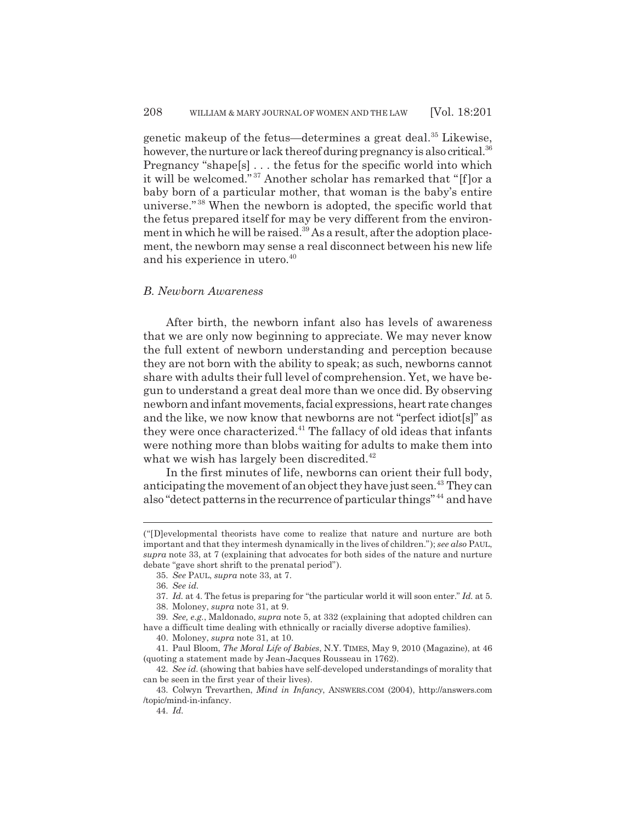genetic makeup of the fetus—determines a great deal.<sup>35</sup> Likewise, however, the nurture or lack thereof during pregnancy is also critical.<sup>36</sup> Pregnancy "shape[s] . . . the fetus for the specific world into which it will be welcomed." 37 Another scholar has remarked that "[f]or a baby born of a particular mother, that woman is the baby's entire universe." 38 When the newborn is adopted, the specific world that the fetus prepared itself for may be very different from the environment in which he will be raised.<sup>39</sup> As a result, after the adoption placement, the newborn may sense a real disconnect between his new life and his experience in utero.<sup>40</sup>

# *B. Newborn Awareness*

After birth, the newborn infant also has levels of awareness that we are only now beginning to appreciate. We may never know the full extent of newborn understanding and perception because they are not born with the ability to speak; as such, newborns cannot share with adults their full level of comprehension. Yet, we have begun to understand a great deal more than we once did. By observing newborn and infant movements, facial expressions, heart rate changes and the like, we now know that newborns are not "perfect idiot[s]" as they were once characterized. $41$  The fallacy of old ideas that infants were nothing more than blobs waiting for adults to make them into what we wish has largely been discredited. $42$ 

In the first minutes of life, newborns can orient their full body, anticipating the movement of an object they have just seen.<sup>43</sup> They can also "detect patterns in the recurrence of particular things" 44 and have

<sup>(&</sup>quot;[D]evelopmental theorists have come to realize that nature and nurture are both important and that they intermesh dynamically in the lives of children."); *see also* PAUL, *supra* note 33, at 7 (explaining that advocates for both sides of the nature and nurture debate "gave short shrift to the prenatal period").

<sup>35.</sup> *See* PAUL, *supra* note 33, at 7.

<sup>36.</sup> *See id.*

<sup>37.</sup> *Id.* at 4. The fetus is preparing for "the particular world it will soon enter." *Id.* at 5.

<sup>38.</sup> Moloney, *supra* note 31, at 9.

<sup>39.</sup> *See, e.g.*, Maldonado, *supra* note 5, at 332 (explaining that adopted children can have a difficult time dealing with ethnically or racially diverse adoptive families).

<sup>40.</sup> Moloney, *supra* note 31, at 10.

<sup>41.</sup> Paul Bloom, *The Moral Life of Babies*, N.Y. TIMES, May 9, 2010 (Magazine), at 46 (quoting a statement made by Jean-Jacques Rousseau in 1762).

<sup>42.</sup> *See id.* (showing that babies have self-developed understandings of morality that can be seen in the first year of their lives).

<sup>43.</sup> Colwyn Trevarthen, *Mind in Infancy*, ANSWERS.COM (2004), http://answers.com /topic/mind-in-infancy.

<sup>44.</sup> *Id.*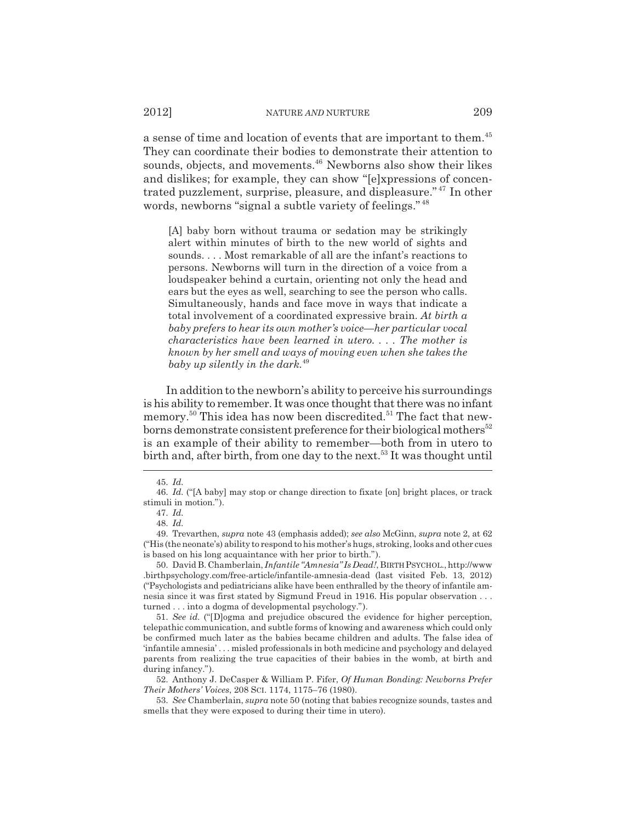a sense of time and location of events that are important to them.<sup>45</sup> They can coordinate their bodies to demonstrate their attention to sounds, objects, and movements.<sup>46</sup> Newborns also show their likes and dislikes; for example, they can show "[e]xpressions of concentrated puzzlement, surprise, pleasure, and displeasure." 47 In other words, newborns "signal a subtle variety of feelings." <sup>48</sup>

[A] baby born without trauma or sedation may be strikingly alert within minutes of birth to the new world of sights and sounds. . . . Most remarkable of all are the infant's reactions to persons. Newborns will turn in the direction of a voice from a loudspeaker behind a curtain, orienting not only the head and ears but the eyes as well, searching to see the person who calls. Simultaneously, hands and face move in ways that indicate a total involvement of a coordinated expressive brain. *At birth a baby prefers to hear its own mother's voice—her particular vocal characteristics have been learned in utero. . . . The mother is known by her smell and ways of moving even when she takes the baby up silently in the dark.*<sup>49</sup>

In addition to the newborn's ability to perceive his surroundings is his ability to remember. It was once thought that there was no infant memory.<sup>50</sup> This idea has now been discredited.<sup>51</sup> The fact that newborns demonstrate consistent preference for their biological mothers<sup>52</sup> is an example of their ability to remember—both from in utero to birth and, after birth, from one day to the next.<sup>53</sup> It was thought until

<sup>45.</sup> *Id.*

<sup>46.</sup> *Id.* ("[A baby] may stop or change direction to fixate [on] bright places, or track stimuli in motion.").

<sup>47.</sup> *Id.*

<sup>48.</sup> *Id.*

<sup>49.</sup> Trevarthen, *supra* note 43 (emphasis added); *see also* McGinn, *supra* note 2, at 62 ("His (the neonate's) ability to respond to his mother's hugs, stroking, looks and other cues is based on his long acquaintance with her prior to birth.").

<sup>50.</sup> David B. Chamberlain, *Infantile "Amnesia" Is Dead!*, BIRTH PSYCHOL., http://www .birthpsychology.com/free-article/infantile-amnesia-dead (last visited Feb. 13, 2012) ("Psychologists and pediatricians alike have been enthralled by the theory of infantile amnesia since it was first stated by Sigmund Freud in 1916. His popular observation . . . turned . . . into a dogma of developmental psychology.").

<sup>51.</sup> *See id.* ("[D]ogma and prejudice obscured the evidence for higher perception, telepathic communication, and subtle forms of knowing and awareness which could only be confirmed much later as the babies became children and adults. The false idea of 'infantile amnesia' . . . misled professionals in both medicine and psychology and delayed parents from realizing the true capacities of their babies in the womb, at birth and during infancy.").

<sup>52.</sup> Anthony J. DeCasper & William P. Fifer, *Of Human Bonding: Newborns Prefer Their Mothers' Voices*, 208 SCI. 1174, 1175–76 (1980).

<sup>53.</sup> *See* Chamberlain, *supra* note 50 (noting that babies recognize sounds, tastes and smells that they were exposed to during their time in utero).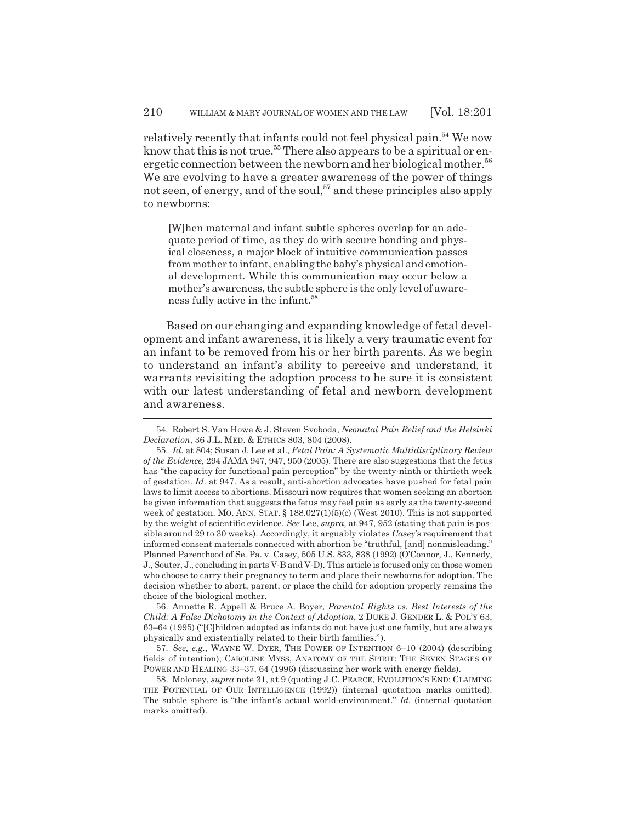relatively recently that infants could not feel physical pain.<sup>54</sup> We now know that this is not true.<sup>55</sup> There also appears to be a spiritual or energetic connection between the newborn and her biological mother.<sup>56</sup> We are evolving to have a greater awareness of the power of things not seen, of energy, and of the soul,  $57$  and these principles also apply to newborns:

[W]hen maternal and infant subtle spheres overlap for an adequate period of time, as they do with secure bonding and physical closeness, a major block of intuitive communication passes from mother to infant, enabling the baby's physical and emotional development. While this communication may occur below a mother's awareness, the subtle sphere is the only level of awareness fully active in the infant.<sup>58</sup>

Based on our changing and expanding knowledge of fetal development and infant awareness, it is likely a very traumatic event for an infant to be removed from his or her birth parents. As we begin to understand an infant's ability to perceive and understand, it warrants revisiting the adoption process to be sure it is consistent with our latest understanding of fetal and newborn development and awareness.

56. Annette R. Appell & Bruce A. Boyer, *Parental Rights vs. Best Interests of the Child: A False Dichotomy in the Context of Adoption*, 2 DUKE J. GENDER L. & POL'Y 63, 63–64 (1995) ("[C]hildren adopted as infants do not have just one family, but are always physically and existentially related to their birth families.").

57. *See, e.g.*, WAYNE W. DYER, THE POWER OF INTENTION 6–10 (2004) (describing fields of intention); CAROLINE MYSS, ANATOMY OF THE SPIRIT: THE SEVEN STAGES OF POWER AND HEALING 33–37, 64 (1996) (discussing her work with energy fields).

58. Moloney, *supra* note 31, at 9 (quoting J.C. PEARCE, EVOLUTION'S END: CLAIMING THE POTENTIAL OF OUR INTELLIGENCE (1992)) (internal quotation marks omitted). The subtle sphere is "the infant's actual world-environment." *Id.* (internal quotation marks omitted).

<sup>54.</sup> Robert S. Van Howe & J. Steven Svoboda, *Neonatal Pain Relief and the Helsinki Declaration*, 36 J.L. MED. & ETHICS 803, 804 (2008).

<sup>55.</sup> *Id.* at 804; Susan J. Lee et al., *Fetal Pain: A Systematic Multidisciplinary Review of the Evidence*, 294 JAMA 947, 947, 950 (2005). There are also suggestions that the fetus has "the capacity for functional pain perception" by the twenty-ninth or thirtieth week of gestation. *Id.* at 947. As a result, anti-abortion advocates have pushed for fetal pain laws to limit access to abortions. Missouri now requires that women seeking an abortion be given information that suggests the fetus may feel pain as early as the twenty-second week of gestation. MO. ANN. STAT.  $\S$  188.027(1)(5)(c) (West 2010). This is not supported by the weight of scientific evidence. *See* Lee, *supra*, at 947, 952 (stating that pain is possible around 29 to 30 weeks). Accordingly, it arguably violates *Casey*'s requirement that informed consent materials connected with abortion be "truthful, [and] nonmisleading." Planned Parenthood of Se. Pa. v. Casey, 505 U.S. 833, 838 (1992) (O'Connor, J., Kennedy, J., Souter, J., concluding in parts V-B and V-D). This article is focused only on those women who choose to carry their pregnancy to term and place their newborns for adoption. The decision whether to abort, parent, or place the child for adoption properly remains the choice of the biological mother.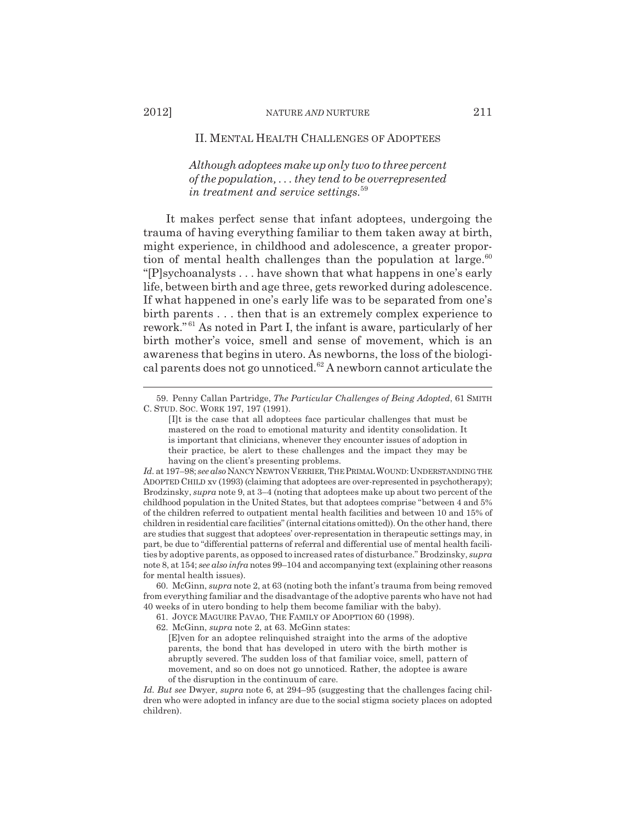*Although adoptees make up only two to three percent of the population, . . . they tend to be overrepresented in treatment and service settings.*<sup>59</sup>

It makes perfect sense that infant adoptees, undergoing the trauma of having everything familiar to them taken away at birth, might experience, in childhood and adolescence, a greater proportion of mental health challenges than the population at large. $60$ "[P]sychoanalysts . . . have shown that what happens in one's early life, between birth and age three, gets reworked during adolescence. If what happened in one's early life was to be separated from one's birth parents . . . then that is an extremely complex experience to rework." 61 As noted in Part I, the infant is aware, particularly of her birth mother's voice, smell and sense of movement, which is an awareness that begins in utero. As newborns, the loss of the biological parents does not go unnoticed.<sup>62</sup> A newborn cannot articulate the

- 62. McGinn, *supra* note 2, at 63. McGinn states:
	- [E]ven for an adoptee relinquished straight into the arms of the adoptive parents, the bond that has developed in utero with the birth mother is abruptly severed. The sudden loss of that familiar voice, smell, pattern of movement, and so on does not go unnoticed. Rather, the adoptee is aware of the disruption in the continuum of care.

<sup>59.</sup> Penny Callan Partridge, *The Particular Challenges of Being Adopted*, 61 SMITH C. STUD. SOC. WORK 197, 197 (1991).

<sup>[</sup>I]t is the case that all adoptees face particular challenges that must be mastered on the road to emotional maturity and identity consolidation. It is important that clinicians, whenever they encounter issues of adoption in their practice, be alert to these challenges and the impact they may be having on the client's presenting problems.

*Id.* at 197–98; *see also* NANCY NEWTON VERRIER, THE PRIMAL WOUND:UNDERSTANDING THE ADOPTED CHILD xv (1993) (claiming that adoptees are over-represented in psychotherapy); Brodzinsky, *supra* note 9, at 3–4 (noting that adoptees make up about two percent of the childhood population in the United States, but that adoptees comprise "between 4 and 5% of the children referred to outpatient mental health facilities and between 10 and 15% of children in residential care facilities" (internal citations omitted)). On the other hand, there are studies that suggest that adoptees' over-representation in therapeutic settings may, in part, be due to "differential patterns of referral and differential use of mental health facilities by adoptive parents, as opposed to increased rates of disturbance." Brodzinsky, *supra* note 8, at 154; *see also infra* notes 99–104 and accompanying text (explaining other reasons for mental health issues).

<sup>60.</sup> McGinn, *supra* note 2, at 63 (noting both the infant's trauma from being removed from everything familiar and the disadvantage of the adoptive parents who have not had 40 weeks of in utero bonding to help them become familiar with the baby).

<sup>61.</sup> JOYCE MAGUIRE PAVAO, THE FAMILY OF ADOPTION 60 (1998).

*Id. But see* Dwyer, *supra* note 6, at 294–95 (suggesting that the challenges facing children who were adopted in infancy are due to the social stigma society places on adopted children).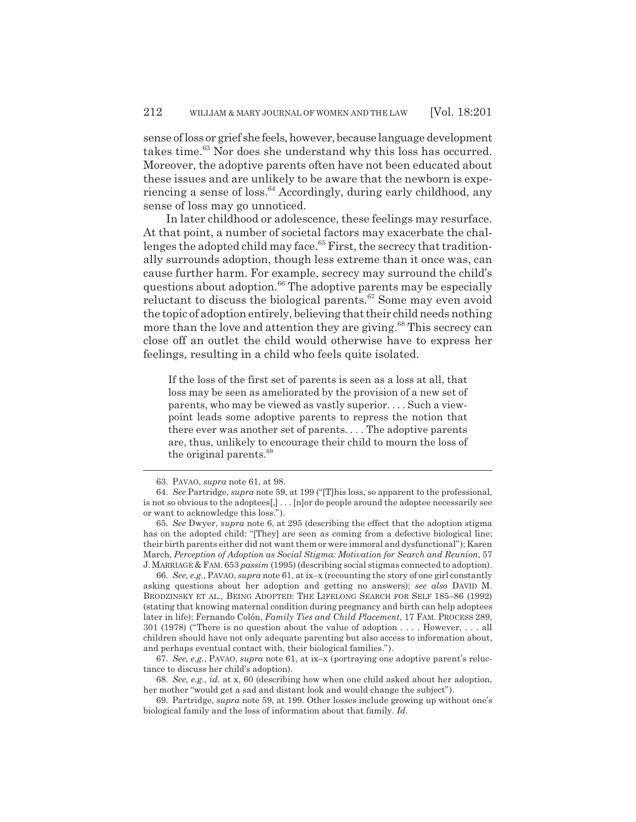sense of loss or grief she feels, however, because language development takes time.<sup>63</sup> Nor does she understand why this loss has occurred. Moreover, the adoptive parents often have not been educated about these issues and are unlikely to be aware that the newborn is experiencing a sense of  $loss.<sup>64</sup> Accordingly, during early childhood, any$ sense of loss may go unnoticed.

In later childhood or adolescence, these feelings may resurface. At that point, a number of societal factors may exacerbate the challenges the adopted child may face.<sup>65</sup> First, the secrecy that traditionally surrounds adoption, though less extreme than it once was, can cause further harm. For example, secrecy may surround the child's questions about adoption.<sup>66</sup> The adoptive parents may be especially reluctant to discuss the biological parents. $67$  Some may even avoid the topic of adoption entirely, believing that their child needs nothing more than the love and attention they are giving.<sup>68</sup> This secrecy can close off an outlet the child would otherwise have to express her feelings, resulting in a child who feels quite isolated.

If the loss of the first set of parents is seen as a loss at all, that loss may be seen as ameliorated by the provision of a new set of parents, who may be viewed as vastly superior. . . . Such a viewpoint leads some adoptive parents to repress the notion that there ever was another set of parents. . . . The adoptive parents are, thus, unlikely to encourage their child to mourn the loss of the original parents.<sup>69</sup>

66. *See, e.g.*, PAVAO, *supra* note 61, at ix–x (recounting the story of one girl constantly asking questions about her adoption and getting no answers); *see also* DAVID M. BRODZINSKY ET AL., BEING ADOPTED: THE LIFELONG SEARCH FOR SELF 185–86 (1992) (stating that knowing maternal condition during pregnancy and birth can help adoptees later in life); Fernando Colón, *Family Ties and Child Placement*, 17 FAM. PROCESS 289, 301 (1978) ("There is no question about the value of adoption . . . . However, . . . all children should have not only adequate parenting but also access to information about, and perhaps eventual contact with, their biological families.").

67. *See, e.g.*, PAVAO, *supra* note 61, at ix–x (portraying one adoptive parent's reluctance to discuss her child's adoption).

<sup>63.</sup> PAVAO, *supra* note 61, at 98.

<sup>64.</sup> *See* Partridge, *supra* note 59, at 199 ("[T]his loss, so apparent to the professional, is not so obvious to the adoptees[,] . . . [n]or do people around the adoptee necessarily see or want to acknowledge this loss.").

<sup>65.</sup> *See* Dwyer, *supra* note 6, at 295 (describing the effect that the adoption stigma has on the adopted child: "[They] are seen as coming from a defective biological line; their birth parents either did not want them or were immoral and dysfunctional"); Karen March, *Perception of Adoption as Social Stigma: Motivation for Search and Reunion*, 57 J.MARRIAGE & FAM. 653 *passim* (1995) (describing social stigmas connected to adoption).

<sup>68.</sup> *See, e.g.*, *id.* at x, 60 (describing how when one child asked about her adoption, her mother "would get a sad and distant look and would change the subject").

<sup>69.</sup> Partridge, *supra* note 59, at 199. Other losses include growing up without one's biological family and the loss of information about that family. *Id.*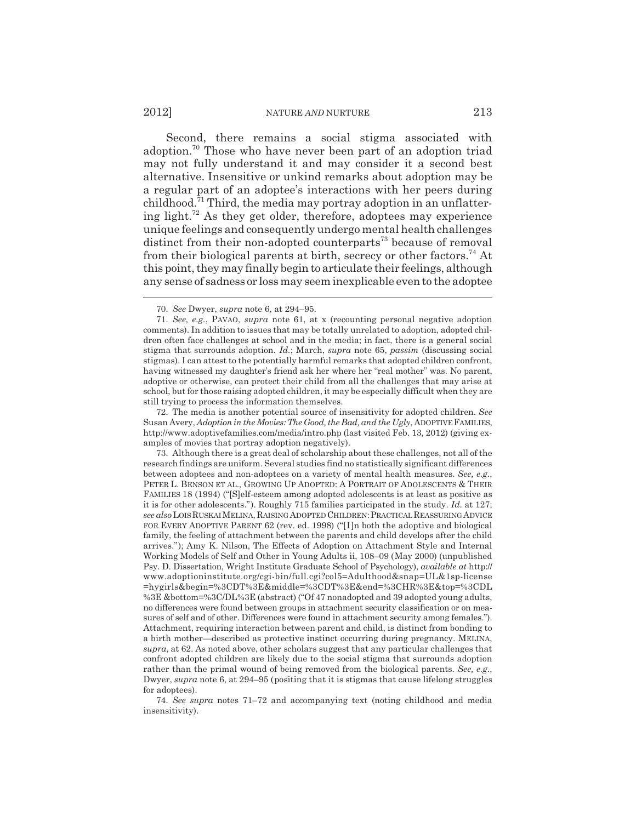#### 2012] NATURE *AND* NURTURE 213

Second, there remains a social stigma associated with adoption.70 Those who have never been part of an adoption triad may not fully understand it and may consider it a second best alternative. Insensitive or unkind remarks about adoption may be a regular part of an adoptee's interactions with her peers during childhood.<sup>71</sup> Third, the media may portray adoption in an unflattering light.72 As they get older, therefore, adoptees may experience unique feelings and consequently undergo mental health challenges distinct from their non-adopted counterparts<sup>73</sup> because of removal from their biological parents at birth, secrecy or other factors.<sup>74</sup> At this point, they may finally begin to articulate their feelings, although any sense of sadness or loss may seem inexplicable even to the adoptee

72. The media is another potential source of insensitivity for adopted children. *See* Susan Avery, *Adoption in the Movies: The Good, the Bad, and the Ugly*, ADOPTIVE FAMILIES, http://www.adoptivefamilies.com/media/intro.php (last visited Feb. 13, 2012) (giving examples of movies that portray adoption negatively).

73. Although there is a great deal of scholarship about these challenges, not all of the research findings are uniform. Several studies find no statistically significant differences between adoptees and non-adoptees on a variety of mental health measures. *See, e.g.*, PETER L. BENSON ET AL., GROWING UP ADOPTED: A PORTRAIT OF ADOLESCENTS & THEIR FAMILIES 18 (1994) ("[S]elf-esteem among adopted adolescents is at least as positive as it is for other adolescents."). Roughly 715 families participated in the study. *Id.* at 127; *see also* LOIS RUSKAI MELINA, RAISING ADOPTED CHILDREN:PRACTICAL REASSURING ADVICE FOR EVERY ADOPTIVE PARENT 62 (rev. ed. 1998) ("[I]n both the adoptive and biological family, the feeling of attachment between the parents and child develops after the child arrives."); Amy K. Nilson, The Effects of Adoption on Attachment Style and Internal Working Models of Self and Other in Young Adults ii, 108–09 (May 2000) (unpublished Psy. D. Dissertation, Wright Institute Graduate School of Psychology), *available at* http:// www.adoptioninstitute.org/cgi-bin/full.cgi?col5=Adulthood&snap=UL&1sp-license =hygirls&begin=%3CDT%3E&middle=%3CDT%3E&end=%3CHR%3E&top=%3CDL %3E &bottom=%3C/DL%3E (abstract) ("Of 47 nonadopted and 39 adopted young adults, no differences were found between groups in attachment security classification or on measures of self and of other. Differences were found in attachment security among females."). Attachment, requiring interaction between parent and child, is distinct from bonding to a birth mother—described as protective instinct occurring during pregnancy. MELINA, *supra*, at 62. As noted above, other scholars suggest that any particular challenges that confront adopted children are likely due to the social stigma that surrounds adoption rather than the primal wound of being removed from the biological parents. *See, e.g.*, Dwyer, *supra* note 6, at 294–95 (positing that it is stigmas that cause lifelong struggles for adoptees).

74. *See supra* notes 71–72 and accompanying text (noting childhood and media insensitivity).

<sup>70.</sup> *See* Dwyer, *supra* note 6, at 294–95.

<sup>71.</sup> *See, e.g.*, PAVAO, *supra* note 61, at x (recounting personal negative adoption comments). In addition to issues that may be totally unrelated to adoption, adopted children often face challenges at school and in the media; in fact, there is a general social stigma that surrounds adoption. *Id.*; March, *supra* note 65, *passim* (discussing social stigmas). I can attest to the potentially harmful remarks that adopted children confront, having witnessed my daughter's friend ask her where her "real mother" was. No parent, adoptive or otherwise, can protect their child from all the challenges that may arise at school, but for those raising adopted children, it may be especially difficult when they are still trying to process the information themselves.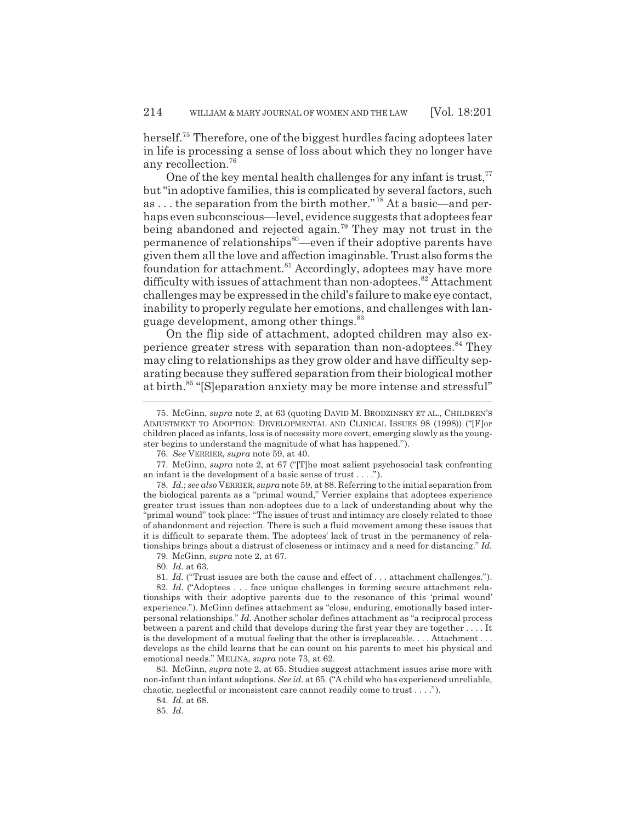herself.<sup>75</sup> Therefore, one of the biggest hurdles facing adoptees later in life is processing a sense of loss about which they no longer have any recollection.76

One of the key mental health challenges for any infant is trust, $77$ but "in adoptive families, this is complicated by several factors, such as ... the separation from the birth mother."<sup>78</sup> At a basic—and perhaps even subconscious—level, evidence suggests that adoptees fear being abandoned and rejected again.79 They may not trust in the permanence of relationships<sup>80</sup>—even if their adoptive parents have given them all the love and affection imaginable. Trust also forms the foundation for attachment.<sup>81</sup> Accordingly, adoptees may have more difficulty with issues of attachment than non-adoptees.<sup>82</sup> Attachment challenges may be expressed in the child's failure to make eye contact, inability to properly regulate her emotions, and challenges with language development, among other things.<sup>83</sup>

On the flip side of attachment, adopted children may also experience greater stress with separation than non-adoptees.<sup>84</sup> They may cling to relationships as they grow older and have difficulty separating because they suffered separation from their biological mother at birth.<sup>85</sup> "[S]eparation anxiety may be more intense and stressful"

80. *Id.* at 63.

<sup>75.</sup> McGinn, *supra* note 2, at 63 (quoting DAVID M. BRODZINSKY ET AL., CHILDREN'S ADJUSTMENT TO ADOPTION: DEVELOPMENTAL AND CLINICAL ISSUES 98 (1998)) ("[F]or children placed as infants, loss is of necessity more covert, emerging slowly as the youngster begins to understand the magnitude of what has happened.").

<sup>76.</sup> *See* VERRIER, *supra* note 59, at 40.

<sup>77.</sup> McGinn, *supra* note 2, at 67 ("[T]he most salient psychosocial task confronting an infant is the development of a basic sense of trust . . . .").

<sup>78.</sup> *Id.*; *see also* VERRIER, *supra* note 59, at 88. Referring to the initial separation from the biological parents as a "primal wound," Verrier explains that adoptees experience greater trust issues than non-adoptees due to a lack of understanding about why the "primal wound" took place: "The issues of trust and intimacy are closely related to those of abandonment and rejection. There is such a fluid movement among these issues that it is difficult to separate them. The adoptees' lack of trust in the permanency of relationships brings about a distrust of closeness or intimacy and a need for distancing." *Id.* 79. McGinn, *supra* note 2, at 67.

<sup>81.</sup> *Id.* ("Trust issues are both the cause and effect of . . . attachment challenges.").

<sup>82.</sup> *Id.* ("Adoptees . . . face unique challenges in forming secure attachment relationships with their adoptive parents due to the resonance of this 'primal wound' experience."). McGinn defines attachment as "close, enduring, emotionally based interpersonal relationships." *Id.* Another scholar defines attachment as "a reciprocal process between a parent and child that develops during the first year they are together . . . . It is the development of a mutual feeling that the other is irreplaceable. . . . Attachment . . . develops as the child learns that he can count on his parents to meet his physical and emotional needs." MELINA, *supra* note 73, at 62.

<sup>83.</sup> McGinn, *supra* note 2, at 65. Studies suggest attachment issues arise more with non-infant than infant adoptions. *See id.* at 65. ("A child who has experienced unreliable, chaotic, neglectful or inconsistent care cannot readily come to trust . . . .").

<sup>84.</sup> *Id.* at 68.

<sup>85.</sup> *Id.*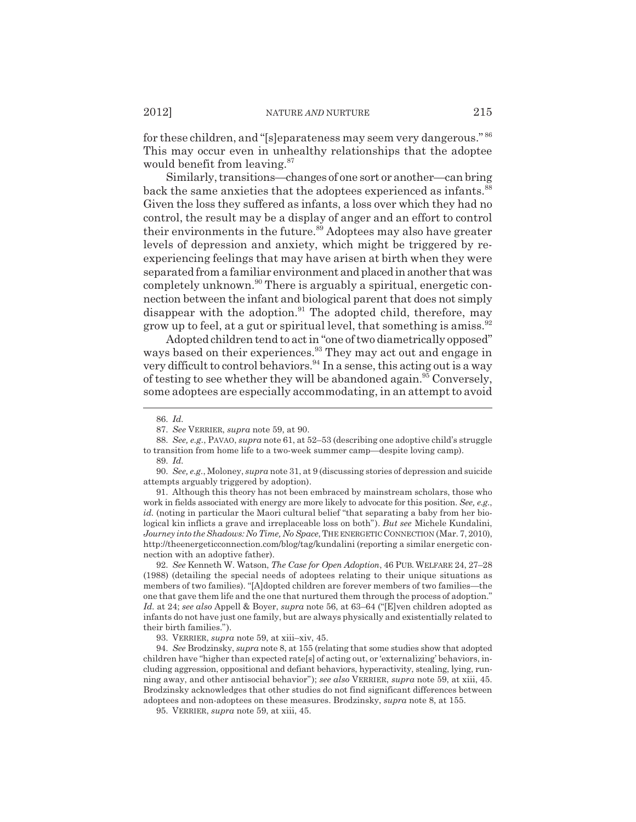for these children, and "[s]eparateness may seem very dangerous." <sup>86</sup> This may occur even in unhealthy relationships that the adoptee would benefit from leaving.<sup>87</sup>

Similarly, transitions—changes of one sort or another—can bring back the same anxieties that the adoptees experienced as infants.<sup>88</sup> Given the loss they suffered as infants, a loss over which they had no control, the result may be a display of anger and an effort to control their environments in the future.<sup>89</sup> Adoptees may also have greater levels of depression and anxiety, which might be triggered by reexperiencing feelings that may have arisen at birth when they were separated from a familiar environment and placed in another that was completely unknown.<sup>90</sup> There is arguably a spiritual, energetic connection between the infant and biological parent that does not simply disappear with the adoption.<sup>91</sup> The adopted child, therefore, may grow up to feel, at a gut or spiritual level, that something is amiss.<sup>92</sup>

Adopted children tend to act in "one of two diametrically opposed" ways based on their experiences.<sup>93</sup> They may act out and engage in very difficult to control behaviors.<sup>94</sup> In a sense, this acting out is a way of testing to see whether they will be abandoned again.<sup>95</sup> Conversely, some adoptees are especially accommodating, in an attempt to avoid

91. Although this theory has not been embraced by mainstream scholars, those who work in fields associated with energy are more likely to advocate for this position. *See, e.g.*, *id.* (noting in particular the Maori cultural belief "that separating a baby from her biological kin inflicts a grave and irreplaceable loss on both"). *But see* Michele Kundalini, *Journey into the Shadows: No Time, No Space*, THE ENERGETIC CONNECTION (Mar. 7, 2010), http://theenergeticconnection.com/blog/tag/kundalini (reporting a similar energetic connection with an adoptive father).

92. *See* Kenneth W. Watson, *The Case for Open Adoption*, 46 PUB. WELFARE 24, 27–28 (1988) (detailing the special needs of adoptees relating to their unique situations as members of two families). "[A]dopted children are forever members of two families—the one that gave them life and the one that nurtured them through the process of adoption." *Id.* at 24; *see also* Appell & Boyer, *supra* note 56, at 63–64 ("[E]ven children adopted as infants do not have just one family, but are always physically and existentially related to their birth families.").

93. VERRIER, *supra* note 59, at xiii–xiv, 45.

94. *See* Brodzinsky, *supra* note 8, at 155 (relating that some studies show that adopted children have "higher than expected rate[s] of acting out, or 'externalizing' behaviors, including aggression, oppositional and defiant behaviors, hyperactivity, stealing, lying, running away, and other antisocial behavior"); *see also* VERRIER, *supra* note 59, at xiii, 45. Brodzinsky acknowledges that other studies do not find significant differences between adoptees and non-adoptees on these measures. Brodzinsky, *supra* note 8, at 155.

95. VERRIER, *supra* note 59, at xiii, 45.

<sup>86.</sup> *Id.*

<sup>87.</sup> *See* VERRIER, *supra* note 59, at 90.

<sup>88.</sup> *See, e.g.*, PAVAO, *supra* note 61, at 52–53 (describing one adoptive child's struggle to transition from home life to a two-week summer camp—despite loving camp).

<sup>89.</sup> *Id.*

<sup>90.</sup> *See, e.g.*, Moloney, *supra* note 31, at 9 (discussing stories of depression and suicide attempts arguably triggered by adoption).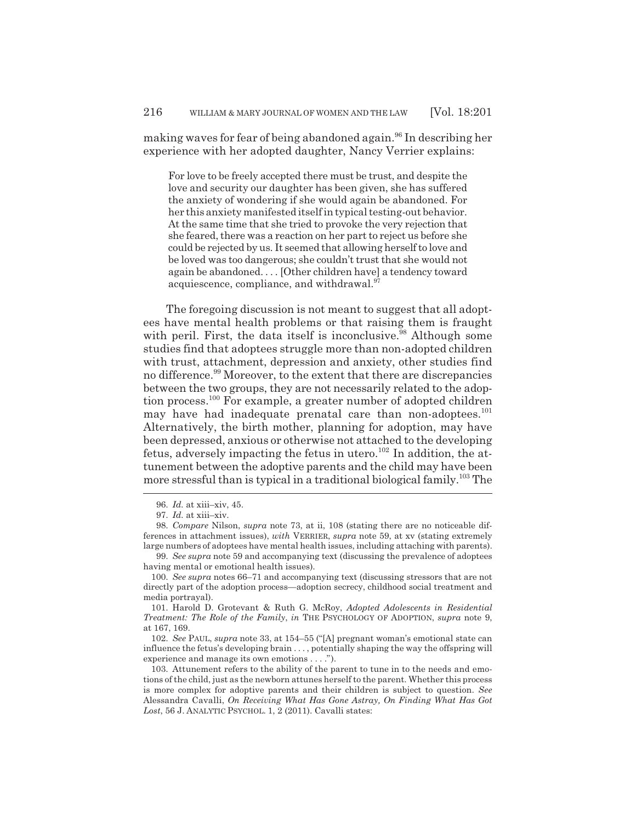making waves for fear of being abandoned again.<sup>96</sup> In describing her experience with her adopted daughter, Nancy Verrier explains:

For love to be freely accepted there must be trust, and despite the love and security our daughter has been given, she has suffered the anxiety of wondering if she would again be abandoned. For her this anxiety manifested itself in typical testing-out behavior. At the same time that she tried to provoke the very rejection that she feared, there was a reaction on her part to reject us before she could be rejected by us. It seemed that allowing herself to love and be loved was too dangerous; she couldn't trust that she would not again be abandoned. . . . [Other children have] a tendency toward acquiescence, compliance, and withdrawal.<sup>97</sup>

The foregoing discussion is not meant to suggest that all adoptees have mental health problems or that raising them is fraught with peril. First, the data itself is inconclusive.<sup>98</sup> Although some studies find that adoptees struggle more than non-adopted children with trust, attachment, depression and anxiety, other studies find no difference.<sup>99</sup> Moreover, to the extent that there are discrepancies between the two groups, they are not necessarily related to the adoption process.<sup>100</sup> For example, a greater number of adopted children may have had inadequate prenatal care than non-adoptees.<sup>101</sup> Alternatively, the birth mother, planning for adoption, may have been depressed, anxious or otherwise not attached to the developing fetus, adversely impacting the fetus in utero.<sup>102</sup> In addition, the attunement between the adoptive parents and the child may have been more stressful than is typical in a traditional biological family.103 The

<sup>96.</sup> *Id.* at xiii–xiv, 45.

<sup>97.</sup> *Id.* at xiii–xiv.

<sup>98.</sup> *Compare* Nilson, *supra* note 73, at ii, 108 (stating there are no noticeable differences in attachment issues), *with* VERRIER, *supra* note 59, at xv (stating extremely large numbers of adoptees have mental health issues, including attaching with parents).

<sup>99.</sup> *See supra* note 59 and accompanying text (discussing the prevalence of adoptees having mental or emotional health issues).

<sup>100.</sup> *See supra* notes 66–71 and accompanying text (discussing stressors that are not directly part of the adoption process—adoption secrecy, childhood social treatment and media portrayal).

<sup>101.</sup> Harold D. Grotevant & Ruth G. McRoy, *Adopted Adolescents in Residential Treatment: The Role of the Family*, *in* THE PSYCHOLOGY OF ADOPTION, *supra* note 9, at 167, 169.

<sup>102.</sup> *See* PAUL, *supra* note 33, at 154–55 ("[A] pregnant woman's emotional state can influence the fetus's developing brain . . . , potentially shaping the way the offspring will experience and manage its own emotions . . . .").

<sup>103.</sup> Attunement refers to the ability of the parent to tune in to the needs and emotions of the child, just as the newborn attunes herself to the parent. Whether this process is more complex for adoptive parents and their children is subject to question. *See* Alessandra Cavalli, *On Receiving What Has Gone Astray, On Finding What Has Got Lost*, 56 J. ANALYTIC PSYCHOL. 1, 2 (2011). Cavalli states: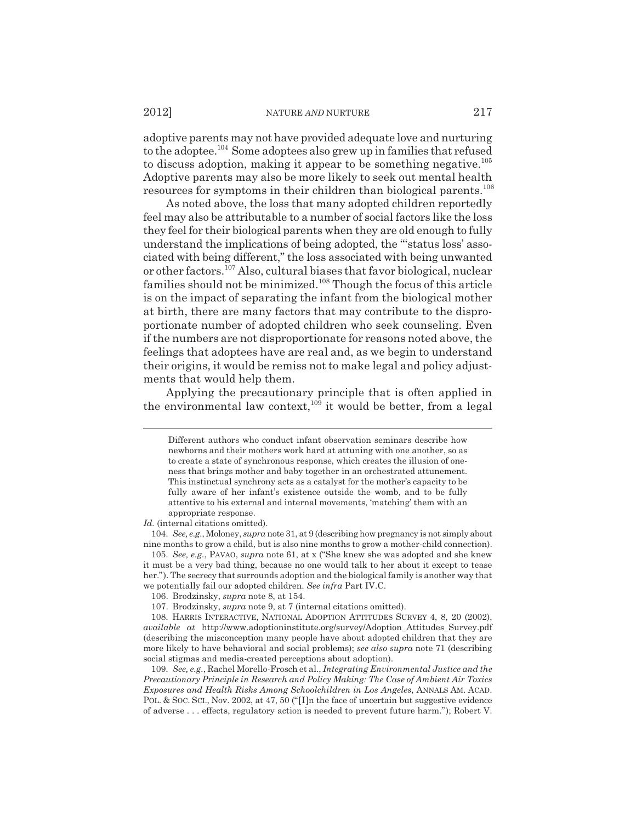adoptive parents may not have provided adequate love and nurturing to the adoptee.<sup>104</sup> Some adoptees also grew up in families that refused to discuss adoption, making it appear to be something negative.<sup>105</sup> Adoptive parents may also be more likely to seek out mental health resources for symptoms in their children than biological parents.<sup>106</sup>

As noted above, the loss that many adopted children reportedly feel may also be attributable to a number of social factors like the loss they feel for their biological parents when they are old enough to fully understand the implications of being adopted, the "'status loss' associated with being different," the loss associated with being unwanted or other factors.107 Also, cultural biases that favor biological, nuclear families should not be minimized.108 Though the focus of this article is on the impact of separating the infant from the biological mother at birth, there are many factors that may contribute to the disproportionate number of adopted children who seek counseling. Even if the numbers are not disproportionate for reasons noted above, the feelings that adoptees have are real and, as we begin to understand their origins, it would be remiss not to make legal and policy adjustments that would help them.

Applying the precautionary principle that is often applied in the environmental law context,  $109$  it would be better, from a legal

Different authors who conduct infant observation seminars describe how newborns and their mothers work hard at attuning with one another, so as to create a state of synchronous response, which creates the illusion of oneness that brings mother and baby together in an orchestrated attunement. This instinctual synchrony acts as a catalyst for the mother's capacity to be fully aware of her infant's existence outside the womb, and to be fully attentive to his external and internal movements, 'matching' them with an appropriate response.

*Id.* (internal citations omitted).

<sup>104.</sup> *See, e.g.*, Moloney, *supra* note 31, at 9 (describing how pregnancy is not simply about nine months to grow a child, but is also nine months to grow a mother-child connection).

<sup>105.</sup> *See, e.g.*, PAVAO, *supra* note 61, at x ("She knew she was adopted and she knew it must be a very bad thing, because no one would talk to her about it except to tease her."). The secrecy that surrounds adoption and the biological family is another way that we potentially fail our adopted children. *See infra* Part IV.C.

<sup>106.</sup> Brodzinsky, *supra* note 8, at 154.

<sup>107.</sup> Brodzinsky, *supra* note 9, at 7 (internal citations omitted).

<sup>108.</sup> HARRIS INTERACTIVE, NATIONAL ADOPTION ATTITUDES SURVEY 4, 8, 20 (2002), *available at* http://www.adoptioninstitute.org/survey/Adoption\_Attitudes\_Survey.pdf (describing the misconception many people have about adopted children that they are more likely to have behavioral and social problems); *see also supra* note 71 (describing social stigmas and media-created perceptions about adoption).

<sup>109.</sup> *See, e.g.*, Rachel Morello-Frosch et al., *Integrating Environmental Justice and the Precautionary Principle in Research and Policy Making: The Case of Ambient Air Toxics Exposures and Health Risks Among Schoolchildren in Los Angeles*, ANNALS AM. ACAD. POL. & SOC. SCI., Nov. 2002, at 47, 50 ("[I]n the face of uncertain but suggestive evidence of adverse . . . effects, regulatory action is needed to prevent future harm."); Robert V.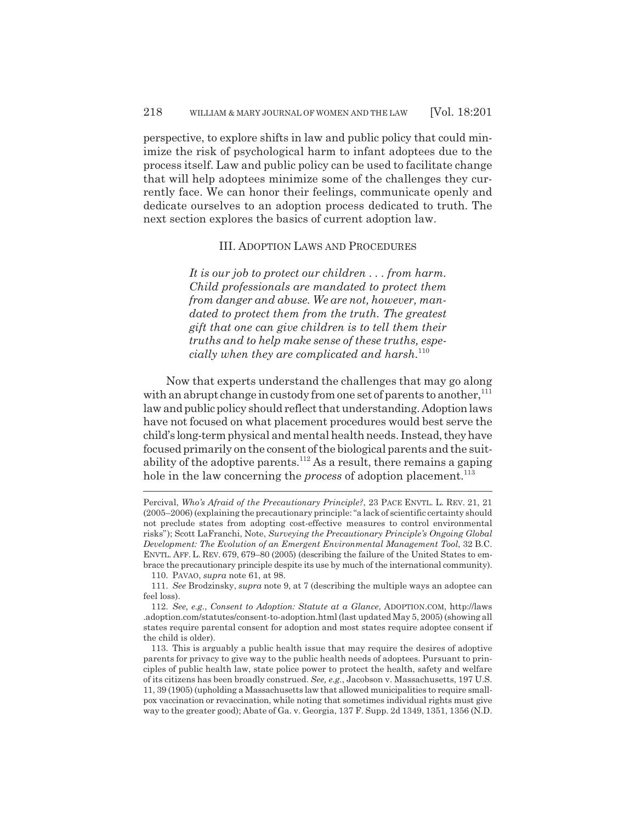perspective, to explore shifts in law and public policy that could minimize the risk of psychological harm to infant adoptees due to the process itself. Law and public policy can be used to facilitate change that will help adoptees minimize some of the challenges they currently face. We can honor their feelings, communicate openly and dedicate ourselves to an adoption process dedicated to truth. The next section explores the basics of current adoption law.

### III. ADOPTION LAWS AND PROCEDURES

*It is our job to protect our children . . . from harm. Child professionals are mandated to protect them from danger and abuse. We are not, however, mandated to protect them from the truth. The greatest gift that one can give children is to tell them their truths and to help make sense of these truths, especially when they are complicated and harsh.*<sup>110</sup>

Now that experts understand the challenges that may go along with an abrupt change in custody from one set of parents to another,<sup>111</sup> law and public policy should reflect that understanding. Adoption laws have not focused on what placement procedures would best serve the child's long-term physical and mental health needs. Instead, they have focused primarily on the consent of the biological parents and the suitability of the adoptive parents.<sup>112</sup> As a result, there remains a gaping hole in the law concerning the *process* of adoption placement.<sup>113</sup>

Percival, *Who's Afraid of the Precautionary Principle?*, 23 PACE ENVTL. L. REV. 21, 21 (2005–2006) (explaining the precautionary principle: "a lack of scientific certainty should not preclude states from adopting cost-effective measures to control environmental risks"); Scott LaFranchi, Note, *Surveying the Precautionary Principle's Ongoing Global Development: The Evolution of an Emergent Environmental Management Tool*, 32 B.C. ENVTL. AFF. L. REV. 679, 679–80 (2005) (describing the failure of the United States to embrace the precautionary principle despite its use by much of the international community). 110. PAVAO, *supra* note 61, at 98.

<sup>111.</sup> *See* Brodzinsky, *supra* note 9, at 7 (describing the multiple ways an adoptee can feel loss).

<sup>112.</sup> *See, e.g.*, *Consent to Adoption: Statute at a Glance*, ADOPTION.COM, http://laws .adoption.com/statutes/consent-to-adoption.html (last updated May 5, 2005) (showing all states require parental consent for adoption and most states require adoptee consent if the child is older).

<sup>113.</sup> This is arguably a public health issue that may require the desires of adoptive parents for privacy to give way to the public health needs of adoptees. Pursuant to principles of public health law, state police power to protect the health, safety and welfare of its citizens has been broadly construed. *See, e.g.*, Jacobson v. Massachusetts, 197 U.S. 11, 39 (1905) (upholding a Massachusetts law that allowed municipalities to require smallpox vaccination or revaccination, while noting that sometimes individual rights must give way to the greater good); Abate of Ga. v. Georgia, 137 F. Supp. 2d 1349, 1351, 1356 (N.D.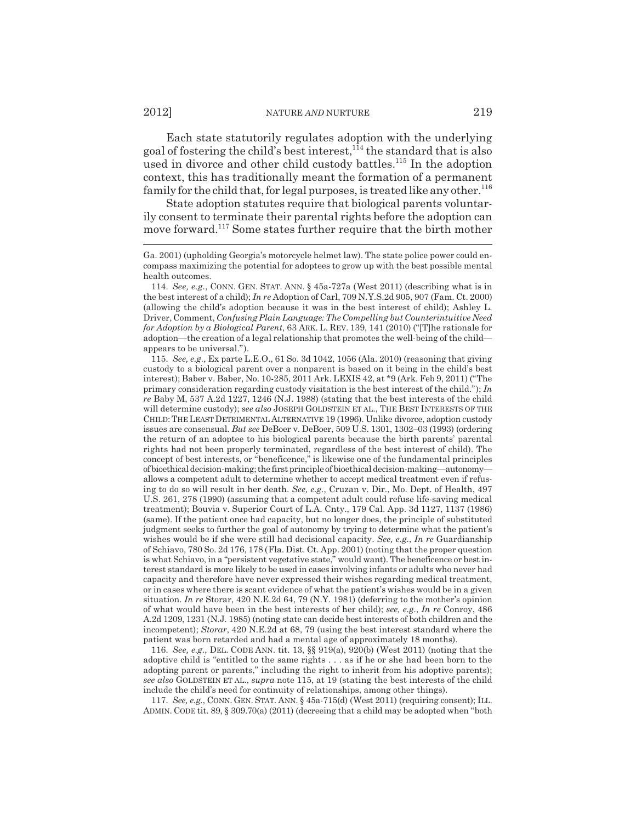Each state statutorily regulates adoption with the underlying goal of fostering the child's best interest,  $1/14$  the standard that is also used in divorce and other child custody battles.<sup>115</sup> In the adoption context, this has traditionally meant the formation of a permanent family for the child that, for legal purposes, is treated like any other.<sup>116</sup>

State adoption statutes require that biological parents voluntarily consent to terminate their parental rights before the adoption can move forward.<sup>117</sup> Some states further require that the birth mother

115. *See, e.g.*, Ex parte L.E.O., 61 So. 3d 1042, 1056 (Ala. 2010) (reasoning that giving custody to a biological parent over a nonparent is based on it being in the child's best interest); Baber v. Baber, No. 10-285, 2011 Ark. LEXIS 42, at \*9 (Ark. Feb 9, 2011) ("The primary consideration regarding custody visitation is the best interest of the child."); *In re* Baby M, 537 A.2d 1227, 1246 (N.J. 1988) (stating that the best interests of the child will determine custody); *see also* JOSEPH GOLDSTEIN ET AL., THE BEST INTERESTS OF THE CHILD:THE LEAST DETRIMENTAL ALTERNATIVE 19 (1996). Unlike divorce, adoption custody issues are consensual. *But see* DeBoer v. DeBoer, 509 U.S. 1301, 1302–03 (1993) (ordering the return of an adoptee to his biological parents because the birth parents' parental rights had not been properly terminated, regardless of the best interest of child). The concept of best interests, or "beneficence," is likewise one of the fundamental principles of bioethical decision-making; the first principle of bioethical decision-making—autonomy allows a competent adult to determine whether to accept medical treatment even if refusing to do so will result in her death. *See, e.g.*, Cruzan v. Dir., Mo. Dept. of Health, 497 U.S. 261, 278 (1990) (assuming that a competent adult could refuse life-saving medical treatment); Bouvia v. Superior Court of L.A. Cnty., 179 Cal. App. 3d 1127, 1137 (1986) (same). If the patient once had capacity, but no longer does, the principle of substituted judgment seeks to further the goal of autonomy by trying to determine what the patient's wishes would be if she were still had decisional capacity. *See, e.g.*, *In re* Guardianship of Schiavo, 780 So. 2d 176, 178 (Fla. Dist. Ct. App. 2001) (noting that the proper question is what Schiavo, in a "persistent vegetative state," would want). The beneficence or best interest standard is more likely to be used in cases involving infants or adults who never had capacity and therefore have never expressed their wishes regarding medical treatment, or in cases where there is scant evidence of what the patient's wishes would be in a given situation. *In re* Storar, 420 N.E.2d 64, 79 (N.Y. 1981) (deferring to the mother's opinion of what would have been in the best interests of her child); *see, e.g.*, *In re* Conroy, 486 A.2d 1209, 1231 (N.J. 1985) (noting state can decide best interests of both children and the incompetent); *Storar*, 420 N.E.2d at 68, 79 (using the best interest standard where the patient was born retarded and had a mental age of approximately 18 months).

116. *See, e.g.*, DEL. CODE ANN. tit. 13, §§ 919(a), 920(b) (West 2011) (noting that the adoptive child is "entitled to the same rights . . . as if he or she had been born to the adopting parent or parents," including the right to inherit from his adoptive parents); *see also* GOLDSTEIN ET AL., *supra* note 115, at 19 (stating the best interests of the child include the child's need for continuity of relationships, among other things).

117. *See, e.g.*, CONN. GEN. STAT. ANN. § 45a-715(d) (West 2011) (requiring consent); ILL. ADMIN. CODE tit. 89, § 309.70(a) (2011) (decreeing that a child may be adopted when "both

Ga. 2001) (upholding Georgia's motorcycle helmet law). The state police power could encompass maximizing the potential for adoptees to grow up with the best possible mental health outcomes.

<sup>114.</sup> *See, e.g.*, CONN. GEN. STAT. ANN. § 45a-727a (West 2011) (describing what is in the best interest of a child); *In re* Adoption of Carl, 709 N.Y.S.2d 905, 907 (Fam. Ct. 2000) (allowing the child's adoption because it was in the best interest of child); Ashley L. Driver, Comment, *Confusing Plain Language: The Compelling but Counterintuitive Need for Adoption by a Biological Parent*, 63 ARK. L. REV. 139, 141 (2010) ("[T]he rationale for adoption—the creation of a legal relationship that promotes the well-being of the child appears to be universal.").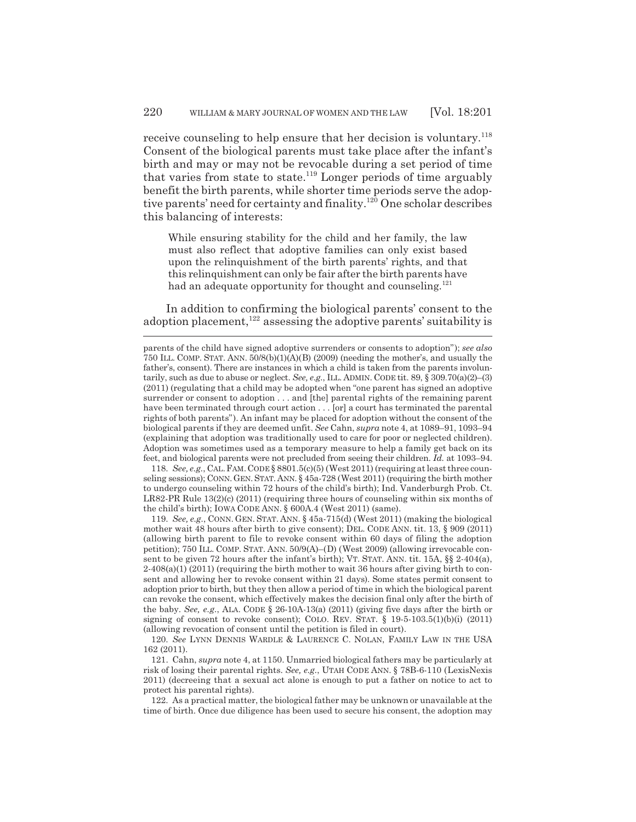receive counseling to help ensure that her decision is voluntary.<sup>118</sup> Consent of the biological parents must take place after the infant's birth and may or may not be revocable during a set period of time that varies from state to state.<sup>119</sup> Longer periods of time arguably benefit the birth parents, while shorter time periods serve the adoptive parents' need for certainty and finality.<sup>120</sup> One scholar describes this balancing of interests:

While ensuring stability for the child and her family, the law must also reflect that adoptive families can only exist based upon the relinquishment of the birth parents' rights, and that this relinquishment can only be fair after the birth parents have had an adequate opportunity for thought and counseling.<sup>121</sup>

In addition to confirming the biological parents' consent to the adoption placement, $122$  assessing the adoptive parents' suitability is

118. *See, e.g.*, CAL.FAM.CODE § 8801.5(c)(5) (West 2011) (requiring at least three counseling sessions); CONN.GEN.STAT. ANN. § 45a-728 (West 2011) (requiring the birth mother to undergo counseling within 72 hours of the child's birth); Ind. Vanderburgh Prob. Ct. LR82-PR Rule 13(2)(c) (2011) (requiring three hours of counseling within six months of the child's birth); IOWA CODE ANN. § 600A.4 (West 2011) (same).

119. *See, e.g.*, CONN. GEN. STAT. ANN. § 45a-715(d) (West 2011) (making the biological mother wait 48 hours after birth to give consent); DEL. CODE ANN. tit. 13, § 909 (2011) (allowing birth parent to file to revoke consent within 60 days of filing the adoption petition); 750 ILL. COMP. STAT. ANN. 50/9(A)–(D) (West 2009) (allowing irrevocable consent to be given 72 hours after the infant's birth); VT. STAT. ANN. tit. 15A, §§ 2-404(a), 2-408(a)(1) (2011) (requiring the birth mother to wait 36 hours after giving birth to consent and allowing her to revoke consent within 21 days). Some states permit consent to adoption prior to birth, but they then allow a period of time in which the biological parent can revoke the consent, which effectively makes the decision final only after the birth of the baby. *See, e.g.*, ALA. CODE § 26-10A-13(a) (2011) (giving five days after the birth or signing of consent to revoke consent); COLO. REV. STAT.  $\S$  19-5-103.5(1)(b)(i) (2011) (allowing revocation of consent until the petition is filed in court).

120. *See* LYNN DENNIS WARDLE & LAURENCE C. NOLAN, FAMILY LAW IN THE USA 162 (2011).

121. Cahn, *supra* note 4, at 1150. Unmarried biological fathers may be particularly at risk of losing their parental rights. *See, e.g.*, UTAH CODE ANN. § 78B-6-110 (LexisNexis 2011) (decreeing that a sexual act alone is enough to put a father on notice to act to protect his parental rights).

122. As a practical matter, the biological father may be unknown or unavailable at the time of birth. Once due diligence has been used to secure his consent, the adoption may

parents of the child have signed adoptive surrenders or consents to adoption"); *see also* 750 ILL. COMP. STAT. ANN. 50/8(b)(1)(A)(B) (2009) (needing the mother's, and usually the father's, consent). There are instances in which a child is taken from the parents involuntarily, such as due to abuse or neglect. *See, e.g.*, ILL. ADMIN. CODE tit. 89, § 309.70(a)(2)–(3) (2011) (regulating that a child may be adopted when "one parent has signed an adoptive surrender or consent to adoption . . . and [the] parental rights of the remaining parent have been terminated through court action . . . [or] a court has terminated the parental rights of both parents"). An infant may be placed for adoption without the consent of the biological parents if they are deemed unfit. *See* Cahn, *supra* note 4, at 1089–91, 1093–94 (explaining that adoption was traditionally used to care for poor or neglected children). Adoption was sometimes used as a temporary measure to help a family get back on its feet, and biological parents were not precluded from seeing their children. *Id.* at 1093–94.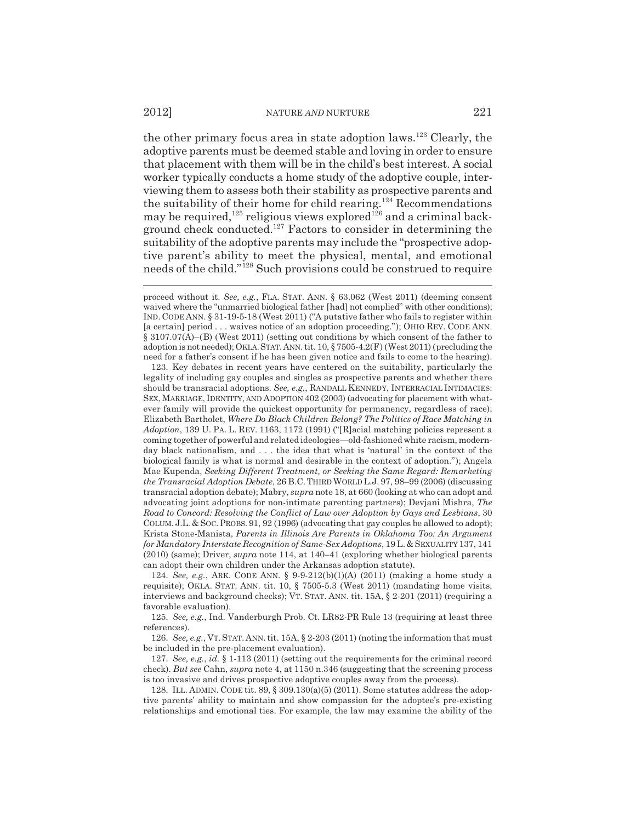the other primary focus area in state adoption laws.<sup>123</sup> Clearly, the adoptive parents must be deemed stable and loving in order to ensure that placement with them will be in the child's best interest. A social worker typically conducts a home study of the adoptive couple, interviewing them to assess both their stability as prospective parents and the suitability of their home for child rearing.<sup>124</sup> Recommendations may be required,<sup>125</sup> religious views explored<sup>126</sup> and a criminal background check conducted.<sup>127</sup> Factors to consider in determining the suitability of the adoptive parents may include the "prospective adoptive parent's ability to meet the physical, mental, and emotional needs of the child."128 Such provisions could be construed to require

123. Key debates in recent years have centered on the suitability, particularly the legality of including gay couples and singles as prospective parents and whether there should be transracial adoptions. *See, e.g.*, RANDALL KENNEDY, INTERRACIAL INTIMACIES: SEX, MARRIAGE, IDENTITY, AND ADOPTION 402 (2003) (advocating for placement with whatever family will provide the quickest opportunity for permanency, regardless of race); Elizabeth Bartholet, *Where Do Black Children Belong? The Politics of Race Matching in Adoption*, 139 U. PA. L. REV. 1163, 1172 (1991) ("[R]acial matching policies represent a coming together of powerful and related ideologies—old-fashioned white racism, modernday black nationalism, and . . . the idea that what is 'natural' in the context of the biological family is what is normal and desirable in the context of adoption."); Angela Mae Kupenda, *Seeking Different Treatment, or Seeking the Same Regard: Remarketing the Transracial Adoption Debate*, 26 B.C.THIRD WORLD L.J. 97, 98–99 (2006) (discussing transracial adoption debate); Mabry, *supra* note 18, at 660 (looking at who can adopt and advocating joint adoptions for non-intimate parenting partners); Devjani Mishra, *The Road to Concord: Resolving the Conflict of Law over Adoption by Gays and Lesbians*, 30 COLUM. J.L. & SOC.PROBS. 91, 92 (1996) (advocating that gay couples be allowed to adopt); Krista Stone-Manista, *Parents in Illinois Are Parents in Oklahoma Too: An Argument for Mandatory Interstate Recognition of Same-Sex Adoptions*, 19 L.& SEXUALITY 137, 141 (2010) (same); Driver, *supra* note 114, at 140–41 (exploring whether biological parents can adopt their own children under the Arkansas adoption statute).

124. *See, e.g.*, ARK. CODE ANN. § 9-9-212(b)(1)(A) (2011) (making a home study a requisite); OKLA. STAT. ANN. tit. 10, § 7505-5.3 (West 2011) (mandating home visits, interviews and background checks); VT. STAT. ANN. tit. 15A, § 2-201 (2011) (requiring a favorable evaluation).

125. *See, e.g.*, Ind. Vanderburgh Prob. Ct. LR82-PR Rule 13 (requiring at least three references).

126. *See, e.g.*, VT. STAT. ANN. tit. 15A, § 2-203 (2011) (noting the information that must be included in the pre-placement evaluation).

127. *See, e.g.*, *id.* § 1-113 (2011) (setting out the requirements for the criminal record check). *But see* Cahn, *supra* note 4, at 1150 n.346 (suggesting that the screening process is too invasive and drives prospective adoptive couples away from the process).

128. ILL. ADMIN. CODE tit. 89, § 309.130(a)(5) (2011). Some statutes address the adoptive parents' ability to maintain and show compassion for the adoptee's pre-existing relationships and emotional ties. For example, the law may examine the ability of the

proceed without it. *See, e.g.*, FLA. STAT. ANN. § 63.062 (West 2011) (deeming consent waived where the "unmarried biological father [had] not complied" with other conditions); IND. CODE ANN. § 31-19-5-18 (West 2011) ("A putative father who fails to register within [a certain] period . . . waives notice of an adoption proceeding."); OHIO REV. CODE ANN. § 3107.07(A)–(B) (West 2011) (setting out conditions by which consent of the father to adoption is not needed); OKLA. STAT. ANN. tit.  $10, \frac{6}{3}$  7505-4.2(F) (West 2011) (precluding the need for a father's consent if he has been given notice and fails to come to the hearing).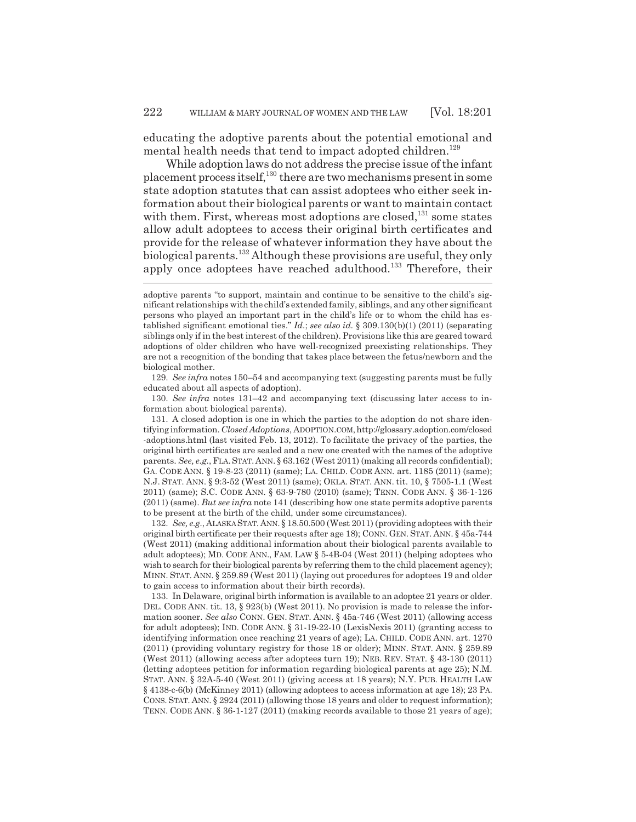educating the adoptive parents about the potential emotional and mental health needs that tend to impact adopted children.<sup>129</sup>

While adoption laws do not address the precise issue of the infant placement process itself,130 there are two mechanisms present in some state adoption statutes that can assist adoptees who either seek information about their biological parents or want to maintain contact with them. First, whereas most adoptions are closed, $131$  some states allow adult adoptees to access their original birth certificates and provide for the release of whatever information they have about the biological parents.132 Although these provisions are useful, they only apply once adoptees have reached adulthood.<sup>133</sup> Therefore, their

129. *See infra* notes 150–54 and accompanying text (suggesting parents must be fully educated about all aspects of adoption).

130. *See infra* notes 131–42 and accompanying text (discussing later access to information about biological parents).

131. A closed adoption is one in which the parties to the adoption do not share identifying information. *Closed Adoptions*, ADOPTION.COM, http://glossary.adoption.com/closed -adoptions.html (last visited Feb. 13, 2012). To facilitate the privacy of the parties, the original birth certificates are sealed and a new one created with the names of the adoptive parents. *See, e.g.*, FLA. STAT. ANN. § 63.162 (West 2011) (making all records confidential); GA. CODE ANN. § 19-8-23 (2011) (same); LA. CHILD. CODE ANN. art. 1185 (2011) (same); N.J. STAT. ANN. § 9:3-52 (West 2011) (same); OKLA. STAT. ANN. tit. 10, § 7505-1.1 (West 2011) (same); S.C. CODE ANN. § 63-9-780 (2010) (same); TENN. CODE ANN. § 36-1-126 (2011) (same). *But see infra* note 141 (describing how one state permits adoptive parents to be present at the birth of the child, under some circumstances).

132. *See, e.g.*, ALASKA STAT.ANN. § 18.50.500 (West 2011) (providing adoptees with their original birth certificate per their requests after age 18); CONN. GEN. STAT. ANN. § 45a-744 (West 2011) (making additional information about their biological parents available to adult adoptees); MD. CODE ANN., FAM. LAW § 5-4B-04 (West 2011) (helping adoptees who wish to search for their biological parents by referring them to the child placement agency); MINN. STAT. ANN. § 259.89 (West 2011) (laying out procedures for adoptees 19 and older to gain access to information about their birth records).

133. In Delaware, original birth information is available to an adoptee 21 years or older. DEL. CODE ANN. tit. 13, § 923(b) (West 2011). No provision is made to release the information sooner. *See also* CONN. GEN. STAT. ANN. § 45a-746 (West 2011) (allowing access for adult adoptees); IND. CODE ANN. § 31-19-22-10 (LexisNexis 2011) (granting access to identifying information once reaching 21 years of age); LA. CHILD. CODE ANN. art. 1270 (2011) (providing voluntary registry for those 18 or older); MINN. STAT. ANN. § 259.89 (West 2011) (allowing access after adoptees turn 19); NEB. REV. STAT. § 43-130 (2011) (letting adoptees petition for information regarding biological parents at age 25); N.M. STAT. ANN. § 32A-5-40 (West 2011) (giving access at 18 years); N.Y. PUB. HEALTH LAW § 4138-c-6(b) (McKinney 2011) (allowing adoptees to access information at age 18); 23 PA. CONS. STAT. ANN. § 2924 (2011) (allowing those 18 years and older to request information); TENN. CODE ANN. § 36-1-127 (2011) (making records available to those 21 years of age);

adoptive parents "to support, maintain and continue to be sensitive to the child's significant relationships with the child's extended family, siblings, and any other significant persons who played an important part in the child's life or to whom the child has established significant emotional ties." *Id.*; *see also id.* § 309.130(b)(1) (2011) (separating siblings only if in the best interest of the children). Provisions like this are geared toward adoptions of older children who have well-recognized preexisting relationships. They are not a recognition of the bonding that takes place between the fetus/newborn and the biological mother.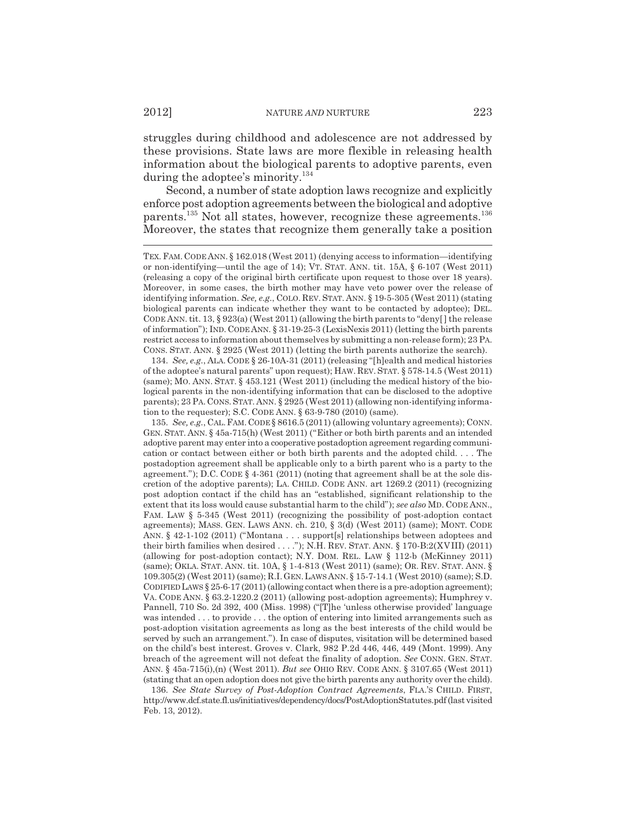struggles during childhood and adolescence are not addressed by these provisions. State laws are more flexible in releasing health information about the biological parents to adoptive parents, even during the adoptee's minority.<sup>134</sup>

Second, a number of state adoption laws recognize and explicitly enforce post adoption agreements between the biological and adoptive parents.<sup>135</sup> Not all states, however, recognize these agreements.<sup>136</sup> Moreover, the states that recognize them generally take a position

134. *See, e.g.*, ALA. CODE § 26-10A-31 (2011) (releasing "[h]ealth and medical histories of the adoptee's natural parents" upon request); HAW. REV. STAT. § 578-14.5 (West 2011) (same); MO. ANN. STAT. § 453.121 (West 2011) (including the medical history of the biological parents in the non-identifying information that can be disclosed to the adoptive parents); 23 PA. CONS.STAT. ANN. § 2925 (West 2011) (allowing non-identifying information to the requester); S.C. CODE ANN. § 63-9-780 (2010) (same).

135. *See, e.g.*, CAL.FAM.CODE § 8616.5 (2011) (allowing voluntary agreements); CONN. GEN. STAT. ANN. § 45a-715(h) (West 2011) ("Either or both birth parents and an intended adoptive parent may enter into a cooperative postadoption agreement regarding communication or contact between either or both birth parents and the adopted child. . . . The postadoption agreement shall be applicable only to a birth parent who is a party to the agreement."); D.C. CODE § 4-361 (2011) (noting that agreement shall be at the sole discretion of the adoptive parents); LA. CHILD. CODE ANN. art 1269.2 (2011) (recognizing post adoption contact if the child has an "established, significant relationship to the extent that its loss would cause substantial harm to the child"); *see also* MD. CODE ANN., FAM. LAW § 5-345 (West 2011) (recognizing the possibility of post-adoption contact agreements); MASS. GEN. LAWS ANN. ch. 210, § 3(d) (West 2011) (same); MONT. CODE ANN. § 42-1-102 (2011) ("Montana . . . support[s] relationships between adoptees and their birth families when desired . . . ."); N.H. REV. STAT. ANN. § 170-B:2(XVIII) (2011) (allowing for post-adoption contact); N.Y. DOM. REL. LAW § 112-b (McKinney 2011) (same); OKLA. STAT. ANN. tit. 10A, § 1-4-813 (West 2011) (same); OR. REV. STAT. ANN. § 109.305(2) (West 2011) (same); R.I.GEN.LAWS ANN. § 15-7-14.1 (West 2010) (same); S.D. CODIFIED LAWS  $\S 25-6-17(2011)$  (allowing contact when there is a pre-adoption agreement); VA. CODE ANN. § 63.2-1220.2 (2011) (allowing post-adoption agreements); Humphrey v. Pannell, 710 So. 2d 392, 400 (Miss. 1998) ("[T]he 'unless otherwise provided' language was intended . . . to provide . . . the option of entering into limited arrangements such as post-adoption visitation agreements as long as the best interests of the child would be served by such an arrangement."). In case of disputes, visitation will be determined based on the child's best interest. Groves v. Clark, 982 P.2d 446, 446, 449 (Mont. 1999). Any breach of the agreement will not defeat the finality of adoption. *See* CONN. GEN. STAT. ANN. § 45a-715(i),(n) (West 2011). *But see* OHIO REV. CODE ANN. § 3107.65 (West 2011) (stating that an open adoption does not give the birth parents any authority over the child).

136. *See State Survey of Post-Adoption Contract Agreements*, FLA.'S CHILD. FIRST, http://www.dcf.state.fl.us/initiatives/dependency/docs/PostAdoptionStatutes.pdf (last visited Feb. 13, 2012).

TEX.FAM. CODE ANN. § 162.018 (West 2011) (denying access to information—identifying or non-identifying—until the age of 14); VT. STAT. ANN. tit. 15A, § 6-107 (West 2011) (releasing a copy of the original birth certificate upon request to those over 18 years). Moreover, in some cases, the birth mother may have veto power over the release of identifying information. *See, e.g.*, COLO. REV. STAT. ANN. § 19-5-305 (West 2011) (stating biological parents can indicate whether they want to be contacted by adoptee); DEL. CODE ANN. tit. 13,  $\S 923(a)$  (West 2011) (allowing the birth parents to "deny[] the release of information"); IND. CODE ANN. § 31-19-25-3 (LexisNexis 2011) (letting the birth parents restrict access to information about themselves by submitting a non-release form); 23 PA. CONS. STAT. ANN. § 2925 (West 2011) (letting the birth parents authorize the search).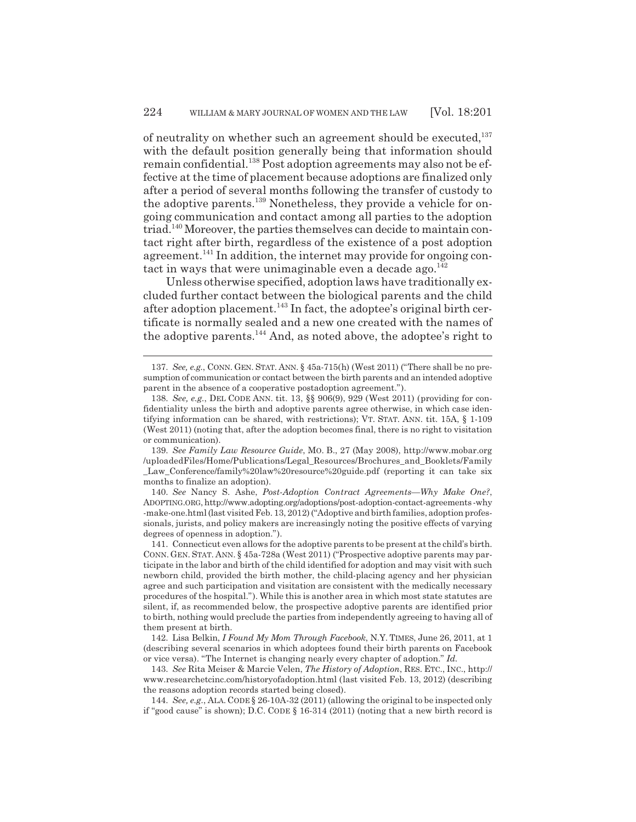of neutrality on whether such an agreement should be executed, $^{137}$ with the default position generally being that information should remain confidential.<sup>138</sup> Post adoption agreements may also not be effective at the time of placement because adoptions are finalized only after a period of several months following the transfer of custody to the adoptive parents.139 Nonetheless, they provide a vehicle for ongoing communication and contact among all parties to the adoption triad.140 Moreover, the parties themselves can decide to maintain contact right after birth, regardless of the existence of a post adoption agreement.<sup>141</sup> In addition, the internet may provide for ongoing contact in ways that were unimaginable even a decade ago. $^{142}$ 

Unless otherwise specified, adoption laws have traditionally excluded further contact between the biological parents and the child after adoption placement.<sup>143</sup> In fact, the adoptee's original birth certificate is normally sealed and a new one created with the names of the adoptive parents.<sup>144</sup> And, as noted above, the adoptee's right to

<sup>137.</sup> *See, e.g.*, CONN. GEN. STAT. ANN. § 45a-715(h) (West 2011) ("There shall be no presumption of communication or contact between the birth parents and an intended adoptive parent in the absence of a cooperative postadoption agreement.").

<sup>138.</sup> *See, e.g.*, DEL CODE ANN. tit. 13, §§ 906(9), 929 (West 2011) (providing for confidentiality unless the birth and adoptive parents agree otherwise, in which case identifying information can be shared, with restrictions); VT. STAT. ANN. tit. 15A, § 1-109 (West 2011) (noting that, after the adoption becomes final, there is no right to visitation or communication).

<sup>139.</sup> *See Family Law Resource Guide*, MO. B., 27 (May 2008), http://www.mobar.org /uploadedFiles/Home/Publications/Legal\_Resources/Brochures\_and\_Booklets/Family Law Conference/family%20law%20resource%20guide.pdf (reporting it can take six months to finalize an adoption).

<sup>140.</sup> *See* Nancy S. Ashe, *Post-Adoption Contract Agreements—Why Make One?*, ADOPTING.ORG, http://www.adopting.org/adoptions/post-adoption-contact-agreements -why -make-one.html (last visited Feb. 13, 2012) ("Adoptive and birth families, adoption professionals, jurists, and policy makers are increasingly noting the positive effects of varying degrees of openness in adoption.").

<sup>141.</sup> Connecticut even allows for the adoptive parents to be present at the child's birth. CONN. GEN. STAT. ANN. § 45a-728a (West 2011) ("Prospective adoptive parents may participate in the labor and birth of the child identified for adoption and may visit with such newborn child, provided the birth mother, the child-placing agency and her physician agree and such participation and visitation are consistent with the medically necessary procedures of the hospital."). While this is another area in which most state statutes are silent, if, as recommended below, the prospective adoptive parents are identified prior to birth, nothing would preclude the parties from independently agreeing to having all of them present at birth.

<sup>142.</sup> Lisa Belkin, *I Found My Mom Through Facebook*, N.Y. TIMES, June 26, 2011, at 1 (describing several scenarios in which adoptees found their birth parents on Facebook or vice versa). "The Internet is changing nearly every chapter of adoption." *Id.*

<sup>143.</sup> *See* Rita Meiser & Marcie Velen, *The History of Adoption*, RES. ETC., INC., http:// www.researchetcinc.com/historyofadoption.html (last visited Feb. 13, 2012) (describing the reasons adoption records started being closed).

<sup>144.</sup> *See, e.g.*, ALA. CODE § 26-10A-32 (2011) (allowing the original to be inspected only if "good cause" is shown); D.C. CODE § 16-314 (2011) (noting that a new birth record is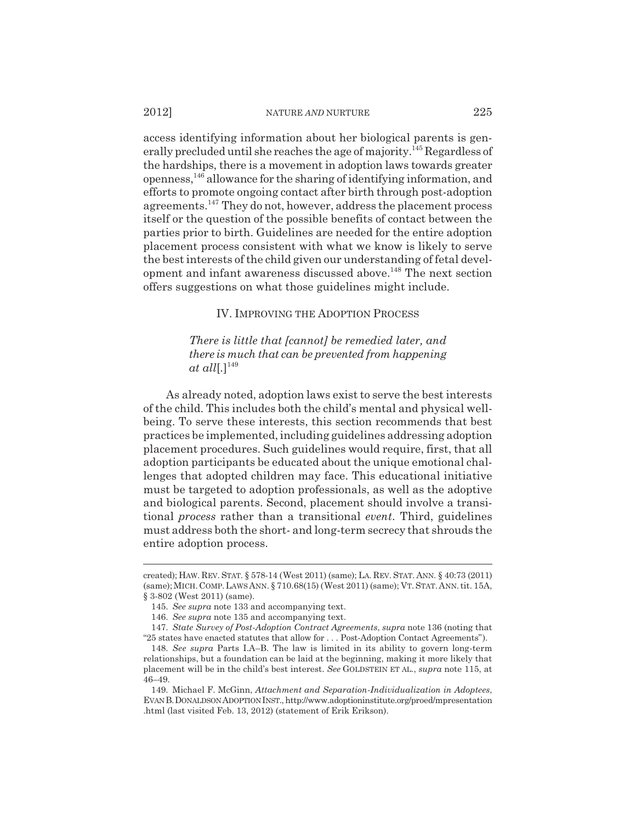#### 2012] NATURE *AND* NURTURE 225

access identifying information about her biological parents is generally precluded until she reaches the age of majority.145 Regardless of the hardships, there is a movement in adoption laws towards greater openness,146 allowance for the sharing of identifying information, and efforts to promote ongoing contact after birth through post-adoption agreements.147 They do not, however, address the placement process itself or the question of the possible benefits of contact between the parties prior to birth. Guidelines are needed for the entire adoption placement process consistent with what we know is likely to serve the best interests of the child given our understanding of fetal development and infant awareness discussed above.<sup>148</sup> The next section offers suggestions on what those guidelines might include.

# IV. IMPROVING THE ADOPTION PROCESS

*There is little that [cannot] be remedied later, and there is much that can be prevented from happening at all*[*.*] 149

As already noted, adoption laws exist to serve the best interests of the child. This includes both the child's mental and physical wellbeing. To serve these interests, this section recommends that best practices be implemented, including guidelines addressing adoption placement procedures. Such guidelines would require, first, that all adoption participants be educated about the unique emotional challenges that adopted children may face. This educational initiative must be targeted to adoption professionals, as well as the adoptive and biological parents. Second, placement should involve a transitional *process* rather than a transitional *event*. Third, guidelines must address both the short- and long-term secrecy that shrouds the entire adoption process.

created); HAW. REV. STAT. § 578-14 (West 2011) (same); LA. REV. STAT. ANN. § 40:73 (2011) (same);MICH.COMP.LAWS ANN. § 710.68(15) (West 2011) (same); VT.STAT.ANN.tit. 15A, § 3-802 (West 2011) (same).

<sup>145.</sup> *See supra* note 133 and accompanying text.

<sup>146.</sup> *See supra* note 135 and accompanying text.

<sup>147.</sup> *State Survey of Post-Adoption Contract Agreements*, *supra* note 136 (noting that "25 states have enacted statutes that allow for . . . Post-Adoption Contact Agreements").

<sup>148.</sup> *See supra* Parts I.A–B. The law is limited in its ability to govern long-term relationships, but a foundation can be laid at the beginning, making it more likely that placement will be in the child's best interest. *See* GOLDSTEIN ET AL., *supra* note 115, at 46–49.

<sup>149.</sup> Michael F. McGinn, *Attachment and Separation-Individualization in Adoptees*, EVAN B.DONALDSON ADOPTION INST., http://www.adoptioninstitute.org/proed/mpresentation .html (last visited Feb. 13, 2012) (statement of Erik Erikson).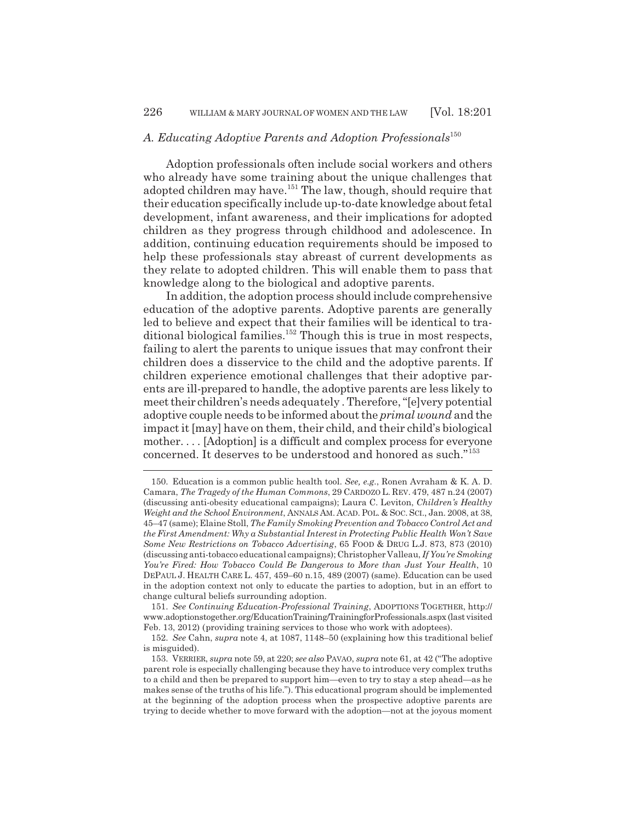# A. Educating Adoptive Parents and Adoption Professionals<sup>150</sup>

Adoption professionals often include social workers and others who already have some training about the unique challenges that adopted children may have.<sup>151</sup> The law, though, should require that their education specifically include up-to-date knowledge about fetal development, infant awareness, and their implications for adopted children as they progress through childhood and adolescence. In addition, continuing education requirements should be imposed to help these professionals stay abreast of current developments as they relate to adopted children. This will enable them to pass that knowledge along to the biological and adoptive parents.

In addition, the adoption process should include comprehensive education of the adoptive parents. Adoptive parents are generally led to believe and expect that their families will be identical to traditional biological families.<sup>152</sup> Though this is true in most respects, failing to alert the parents to unique issues that may confront their children does a disservice to the child and the adoptive parents. If children experience emotional challenges that their adoptive parents are ill-prepared to handle, the adoptive parents are less likely to meet their children's needs adequately . Therefore, "[e]very potential adoptive couple needs to be informed about the *primal wound* and the impact it [may] have on them, their child, and their child's biological mother. . . . [Adoption] is a difficult and complex process for everyone concerned. It deserves to be understood and honored as such."<sup>153</sup>

<sup>150.</sup> Education is a common public health tool. *See, e.g.*, Ronen Avraham & K. A. D. Camara, *The Tragedy of the Human Commons*, 29 CARDOZO L. REV. 479, 487 n.24 (2007) (discussing anti-obesity educational campaigns); Laura C. Leviton, *Children's Healthy Weight and the School Environment*, ANNALS AM. ACAD.POL. & SOC. SCI., Jan. 2008, at 38, 45–47 (same); Elaine Stoll, *The Family Smoking Prevention and Tobacco Control Act and the First Amendment: Why a Substantial Interest in Protecting Public Health Won't Save Some New Restrictions on Tobacco Advertising*, 65 FOOD & DRUG L.J. 873, 873 (2010) (discussing anti-tobacco educational campaigns); Christopher Valleau, *If You're Smoking You're Fired: How Tobacco Could Be Dangerous to More than Just Your Health*, 10 DEPAUL J. HEALTH CARE L. 457, 459–60 n.15, 489 (2007) (same). Education can be used in the adoption context not only to educate the parties to adoption, but in an effort to change cultural beliefs surrounding adoption.

<sup>151.</sup> *See Continuing Education-Professional Training*, ADOPTIONS TOGETHER, http:// www.adoptionstogether.org/EducationTraining/TrainingforProfessionals.aspx (last visited Feb. 13, 2012) (providing training services to those who work with adoptees).

<sup>152.</sup> *See* Cahn, *supra* note 4, at 1087, 1148–50 (explaining how this traditional belief is misguided).

<sup>153.</sup> VERRIER, *supra* note 59, at 220; *see also* PAVAO, *supra* note 61, at 42 ("The adoptive parent role is especially challenging because they have to introduce very complex truths to a child and then be prepared to support him—even to try to stay a step ahead—as he makes sense of the truths of his life."). This educational program should be implemented at the beginning of the adoption process when the prospective adoptive parents are trying to decide whether to move forward with the adoption—not at the joyous moment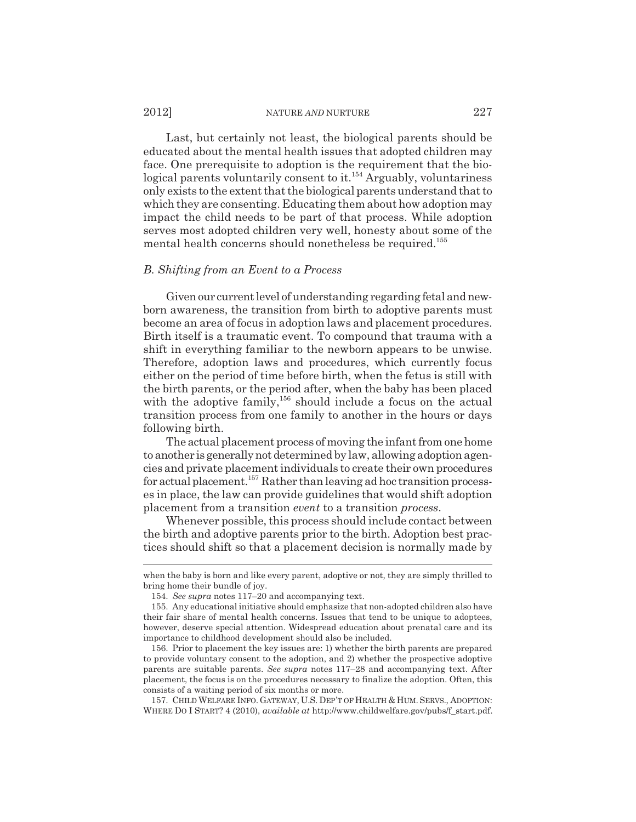#### 2012] NATURE *AND* NURTURE 227

Last, but certainly not least, the biological parents should be educated about the mental health issues that adopted children may face. One prerequisite to adoption is the requirement that the biological parents voluntarily consent to it.<sup>154</sup> Arguably, voluntariness only exists to the extent that the biological parents understand that to which they are consenting. Educating them about how adoption may impact the child needs to be part of that process. While adoption serves most adopted children very well, honesty about some of the mental health concerns should nonetheless be required.<sup>155</sup>

## *B. Shifting from an Event to a Process*

Given our current level of understanding regarding fetal and newborn awareness, the transition from birth to adoptive parents must become an area of focus in adoption laws and placement procedures. Birth itself is a traumatic event. To compound that trauma with a shift in everything familiar to the newborn appears to be unwise. Therefore, adoption laws and procedures, which currently focus either on the period of time before birth, when the fetus is still with the birth parents, or the period after, when the baby has been placed with the adoptive family,<sup>156</sup> should include a focus on the actual transition process from one family to another in the hours or days following birth.

The actual placement process of moving the infant from one home to another is generally not determined by law, allowing adoption agencies and private placement individuals to create their own procedures for actual placement.157 Rather than leaving ad hoc transition processes in place, the law can provide guidelines that would shift adoption placement from a transition *event* to a transition *process*.

Whenever possible, this process should include contact between the birth and adoptive parents prior to the birth. Adoption best practices should shift so that a placement decision is normally made by

157. CHILD WELFARE INFO. GATEWAY, U.S. DEP'T OF HEALTH & HUM.SERVS., ADOPTION: WHERE DO I START? 4 (2010), *available at* http://www.childwelfare.gov/pubs/f\_start.pdf.

when the baby is born and like every parent, adoptive or not, they are simply thrilled to bring home their bundle of joy.

<sup>154.</sup> *See supra* notes 117–20 and accompanying text.

<sup>155.</sup> Any educational initiative should emphasize that non-adopted children also have their fair share of mental health concerns. Issues that tend to be unique to adoptees, however, deserve special attention. Widespread education about prenatal care and its importance to childhood development should also be included.

<sup>156.</sup> Prior to placement the key issues are: 1) whether the birth parents are prepared to provide voluntary consent to the adoption, and 2) whether the prospective adoptive parents are suitable parents. *See supra* notes 117–28 and accompanying text. After placement, the focus is on the procedures necessary to finalize the adoption. Often, this consists of a waiting period of six months or more.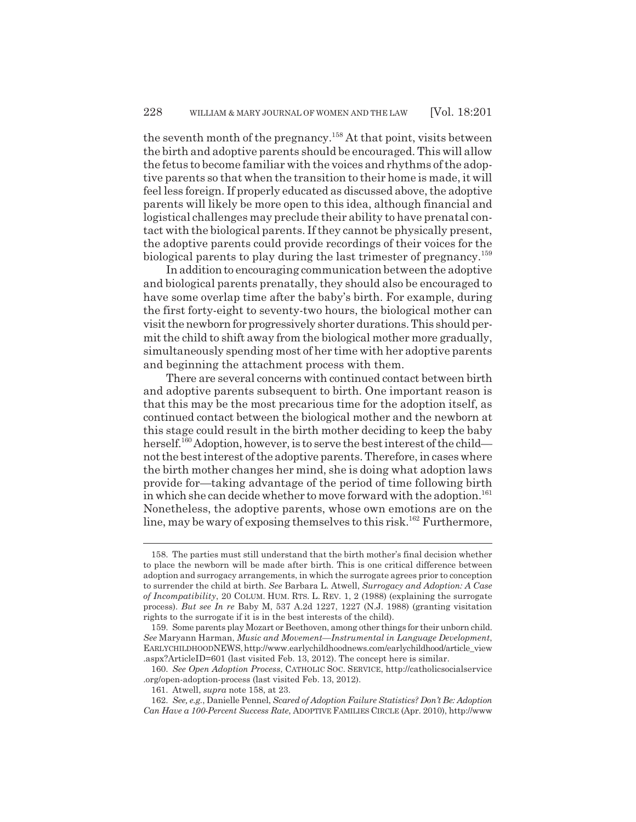the seventh month of the pregnancy.<sup>158</sup> At that point, visits between the birth and adoptive parents should be encouraged. This will allow the fetus to become familiar with the voices and rhythms of the adoptive parents so that when the transition to their home is made, it will feel less foreign. If properly educated as discussed above, the adoptive parents will likely be more open to this idea, although financial and logistical challenges may preclude their ability to have prenatal contact with the biological parents. If they cannot be physically present, the adoptive parents could provide recordings of their voices for the biological parents to play during the last trimester of pregnancy.<sup>159</sup>

In addition to encouraging communication between the adoptive and biological parents prenatally, they should also be encouraged to have some overlap time after the baby's birth. For example, during the first forty-eight to seventy-two hours, the biological mother can visit the newborn for progressively shorter durations. This should permit the child to shift away from the biological mother more gradually, simultaneously spending most of her time with her adoptive parents and beginning the attachment process with them.

There are several concerns with continued contact between birth and adoptive parents subsequent to birth. One important reason is that this may be the most precarious time for the adoption itself, as continued contact between the biological mother and the newborn at this stage could result in the birth mother deciding to keep the baby herself.<sup>160</sup> Adoption, however, is to serve the best interest of the child not the best interest of the adoptive parents. Therefore, in cases where the birth mother changes her mind, she is doing what adoption laws provide for—taking advantage of the period of time following birth in which she can decide whether to move forward with the adoption.<sup>161</sup> Nonetheless, the adoptive parents, whose own emotions are on the line, may be wary of exposing themselves to this risk.<sup>162</sup> Furthermore,

<sup>158.</sup> The parties must still understand that the birth mother's final decision whether to place the newborn will be made after birth. This is one critical difference between adoption and surrogacy arrangements, in which the surrogate agrees prior to conception to surrender the child at birth. *See* Barbara L. Atwell, *Surrogacy and Adoption: A Case of Incompatibility*, 20 COLUM. HUM. RTS. L. REV. 1, 2 (1988) (explaining the surrogate process). *But see In re* Baby M, 537 A.2d 1227, 1227 (N.J. 1988) (granting visitation rights to the surrogate if it is in the best interests of the child).

<sup>159.</sup> Some parents play Mozart or Beethoven, among other things for their unborn child. *See* Maryann Harman, *Music and Movement—Instrumental in Language Development*, EARLYCHILDHOODNEWS, http://www.earlychildhoodnews.com/earlychildhood/article\_view .aspx?ArticleID=601 (last visited Feb. 13, 2012). The concept here is similar.

<sup>160.</sup> *See Open Adoption Process*, CATHOLIC SOC. SERVICE, http://catholicsocialservice .org/open-adoption-process (last visited Feb. 13, 2012).

<sup>161.</sup> Atwell, *supra* note 158, at 23.

<sup>162.</sup> *See, e.g.*, Danielle Pennel, *Scared of Adoption Failure Statistics? Don't Be: Adoption Can Have a 100-Percent Success Rate*, ADOPTIVE FAMILIES CIRCLE (Apr. 2010), http://www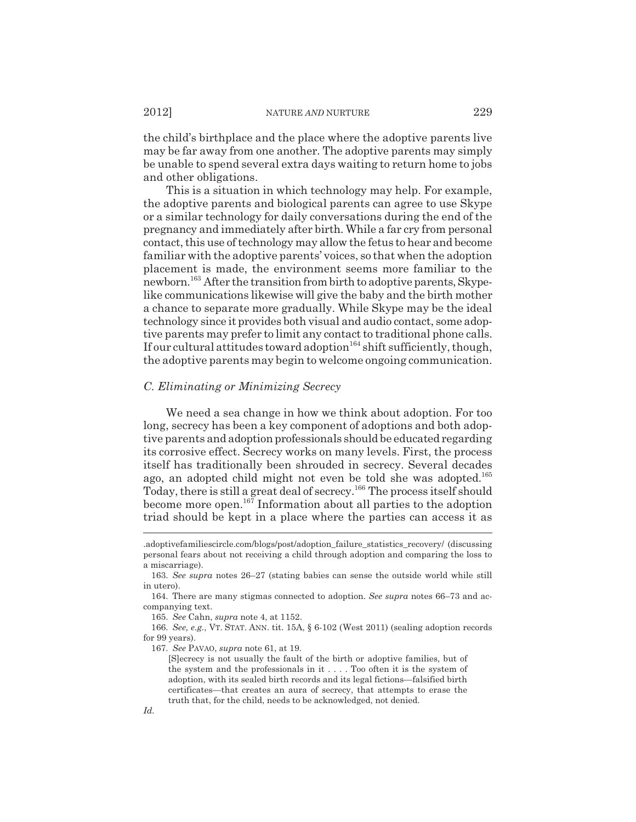the child's birthplace and the place where the adoptive parents live may be far away from one another. The adoptive parents may simply be unable to spend several extra days waiting to return home to jobs and other obligations.

This is a situation in which technology may help. For example, the adoptive parents and biological parents can agree to use Skype or a similar technology for daily conversations during the end of the pregnancy and immediately after birth. While a far cry from personal contact, this use of technology may allow the fetus to hear and become familiar with the adoptive parents' voices, so that when the adoption placement is made, the environment seems more familiar to the newborn.<sup>163</sup> After the transition from birth to adoptive parents, Skypelike communications likewise will give the baby and the birth mother a chance to separate more gradually. While Skype may be the ideal technology since it provides both visual and audio contact, some adoptive parents may prefer to limit any contact to traditional phone calls. If our cultural attitudes toward adoption<sup>164</sup> shift sufficiently, though, the adoptive parents may begin to welcome ongoing communication.

#### *C. Eliminating or Minimizing Secrecy*

We need a sea change in how we think about adoption. For too long, secrecy has been a key component of adoptions and both adoptive parents and adoption professionals should be educated regarding its corrosive effect. Secrecy works on many levels. First, the process itself has traditionally been shrouded in secrecy. Several decades ago, an adopted child might not even be told she was adopted.<sup>165</sup> Today, there is still a great deal of secrecy.166 The process itself should become more open.167 Information about all parties to the adoption triad should be kept in a place where the parties can access it as

<sup>.</sup>adoptivefamiliescircle.com/blogs/post/adoption\_failure\_statistics\_recovery/ (discussing personal fears about not receiving a child through adoption and comparing the loss to a miscarriage).

<sup>163.</sup> *See supra* notes 26–27 (stating babies can sense the outside world while still in utero).

<sup>164.</sup> There are many stigmas connected to adoption. *See supra* notes 66–73 and accompanying text.

<sup>165.</sup> *See* Cahn, *supra* note 4, at 1152.

<sup>166.</sup> *See, e.g.*, VT. STAT. ANN. tit. 15A, § 6-102 (West 2011) (sealing adoption records for 99 years).

<sup>167.</sup> *See* PAVAO, *supra* note 61, at 19.

<sup>[</sup>S]ecrecy is not usually the fault of the birth or adoptive families, but of the system and the professionals in it . . . . Too often it is the system of adoption, with its sealed birth records and its legal fictions—falsified birth certificates—that creates an aura of secrecy, that attempts to erase the truth that, for the child, needs to be acknowledged, not denied.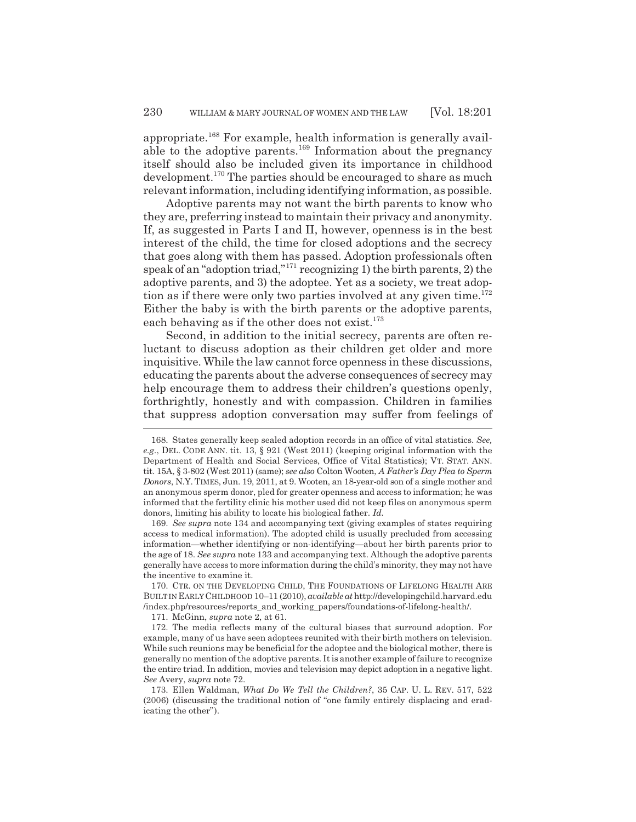appropriate.<sup>168</sup> For example, health information is generally available to the adoptive parents.169 Information about the pregnancy itself should also be included given its importance in childhood development.<sup>170</sup> The parties should be encouraged to share as much relevant information, including identifying information, as possible.

Adoptive parents may not want the birth parents to know who they are, preferring instead to maintain their privacy and anonymity. If, as suggested in Parts I and II, however, openness is in the best interest of the child, the time for closed adoptions and the secrecy that goes along with them has passed. Adoption professionals often speak of an "adoption triad,"171 recognizing 1) the birth parents, 2) the adoptive parents, and 3) the adoptee. Yet as a society, we treat adoption as if there were only two parties involved at any given time. $172$ Either the baby is with the birth parents or the adoptive parents, each behaving as if the other does not exist. $173$ 

Second, in addition to the initial secrecy, parents are often reluctant to discuss adoption as their children get older and more inquisitive. While the law cannot force openness in these discussions, educating the parents about the adverse consequences of secrecy may help encourage them to address their children's questions openly, forthrightly, honestly and with compassion. Children in families that suppress adoption conversation may suffer from feelings of

169. *See supra* note 134 and accompanying text (giving examples of states requiring access to medical information). The adopted child is usually precluded from accessing information—whether identifying or non-identifying—about her birth parents prior to the age of 18. *See supra* note 133 and accompanying text. Although the adoptive parents generally have access to more information during the child's minority, they may not have the incentive to examine it.

170. CTR. ON THE DEVELOPING CHILD, THE FOUNDATIONS OF LIFELONG HEALTH ARE BUILT IN EARLY CHILDHOOD 10–11 (2010), *available at* http://developingchild.harvard.edu /index.php/resources/reports\_and\_working\_papers/foundations-of-lifelong-health/.

171. McGinn, *supra* note 2, at 61.

<sup>168.</sup> States generally keep sealed adoption records in an office of vital statistics. *See, e.g.*, DEL. CODE ANN. tit. 13, § 921 (West 2011) (keeping original information with the Department of Health and Social Services, Office of Vital Statistics); VT. STAT. ANN. tit. 15A, § 3-802 (West 2011) (same); *see also* Colton Wooten, *A Father's Day Plea to Sperm Donors*, N.Y. TIMES, Jun. 19, 2011, at 9. Wooten, an 18-year-old son of a single mother and an anonymous sperm donor, pled for greater openness and access to information; he was informed that the fertility clinic his mother used did not keep files on anonymous sperm donors, limiting his ability to locate his biological father. *Id.*

<sup>172.</sup> The media reflects many of the cultural biases that surround adoption. For example, many of us have seen adoptees reunited with their birth mothers on television. While such reunions may be beneficial for the adoptee and the biological mother, there is generally no mention of the adoptive parents. It is another example of failure to recognize the entire triad. In addition, movies and television may depict adoption in a negative light. *See* Avery, *supra* note 72.

<sup>173.</sup> Ellen Waldman, *What Do We Tell the Children?*, 35 CAP. U. L. REV. 517, 522 (2006) (discussing the traditional notion of "one family entirely displacing and eradicating the other").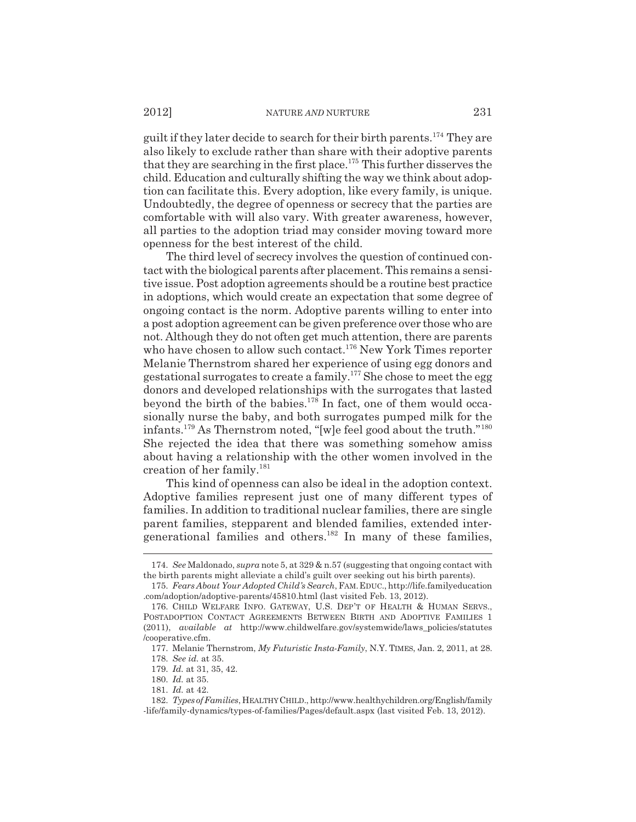guilt if they later decide to search for their birth parents.<sup>174</sup> They are also likely to exclude rather than share with their adoptive parents that they are searching in the first place.<sup>175</sup> This further disserves the child. Education and culturally shifting the way we think about adoption can facilitate this. Every adoption, like every family, is unique. Undoubtedly, the degree of openness or secrecy that the parties are comfortable with will also vary. With greater awareness, however, all parties to the adoption triad may consider moving toward more openness for the best interest of the child.

The third level of secrecy involves the question of continued contact with the biological parents after placement. This remains a sensitive issue. Post adoption agreements should be a routine best practice in adoptions, which would create an expectation that some degree of ongoing contact is the norm. Adoptive parents willing to enter into a post adoption agreement can be given preference over those who are not. Although they do not often get much attention, there are parents who have chosen to allow such contact.<sup>176</sup> New York Times reporter Melanie Thernstrom shared her experience of using egg donors and gestational surrogates to create a family.177 She chose to meet the egg donors and developed relationships with the surrogates that lasted beyond the birth of the babies.<sup>178</sup> In fact, one of them would occasionally nurse the baby, and both surrogates pumped milk for the infants.179 As Thernstrom noted, "[w]e feel good about the truth."180 She rejected the idea that there was something somehow amiss about having a relationship with the other women involved in the creation of her family. $^{181}$ 

This kind of openness can also be ideal in the adoption context. Adoptive families represent just one of many different types of families. In addition to traditional nuclear families, there are single parent families, stepparent and blended families, extended intergenerational families and others.<sup>182</sup> In many of these families,

<sup>174.</sup> *See* Maldonado, *supra* note 5, at 329 & n.57 (suggesting that ongoing contact with the birth parents might alleviate a child's guilt over seeking out his birth parents).

<sup>175.</sup> *Fears About Your Adopted Child's Search*, FAM.EDUC., http://life.familyeducation .com/adoption/adoptive-parents/45810.html (last visited Feb. 13, 2012).

<sup>176.</sup> CHILD WELFARE INFO. GATEWAY, U.S. DEP'T OF HEALTH & HUMAN SERVS., POSTADOPTION CONTACT AGREEMENTS BETWEEN BIRTH AND ADOPTIVE FAMILIES 1 (2011), *available at* http://www.childwelfare.gov/systemwide/laws\_policies/statutes /cooperative.cfm.

<sup>177.</sup> Melanie Thernstrom, *My Futuristic Insta-Family*, N.Y. TIMES, Jan. 2, 2011, at 28. 178. *See id.* at 35.

<sup>179.</sup> *Id.* at 31, 35, 42.

<sup>180.</sup> *Id.* at 35.

<sup>181.</sup> *Id.* at 42.

<sup>182.</sup> *Types of Families*, HEALTHY CHILD., http://www.healthychildren.org/English/family -life/family-dynamics/types-of-families/Pages/default.aspx (last visited Feb. 13, 2012).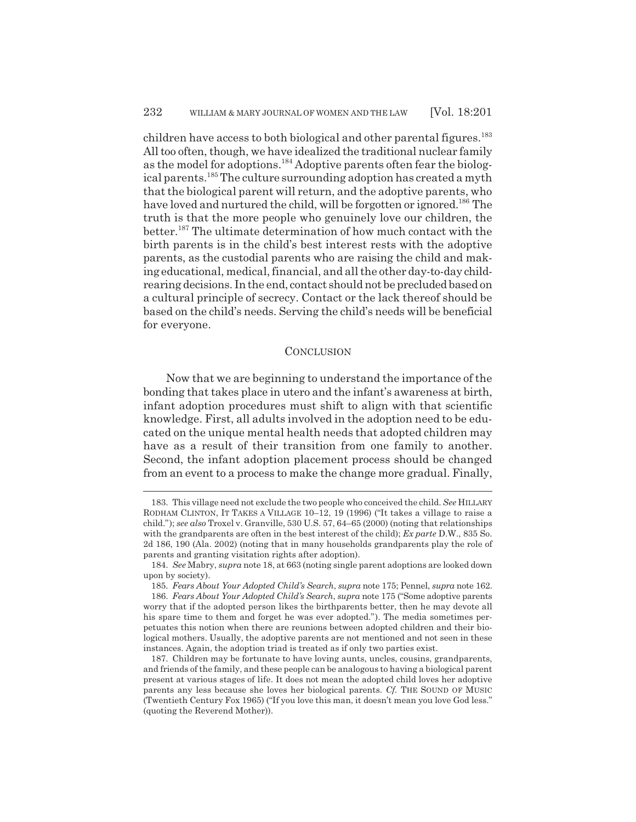children have access to both biological and other parental figures.<sup>183</sup> All too often, though, we have idealized the traditional nuclear family as the model for adoptions.<sup>184</sup> Adoptive parents often fear the biological parents.<sup>185</sup> The culture surrounding adoption has created a myth that the biological parent will return, and the adoptive parents, who have loved and nurtured the child, will be forgotten or ignored.<sup>186</sup> The truth is that the more people who genuinely love our children, the better.187 The ultimate determination of how much contact with the birth parents is in the child's best interest rests with the adoptive parents, as the custodial parents who are raising the child and making educational, medical, financial, and all the other day-to-day childrearing decisions. In the end, contact should not be precluded based on a cultural principle of secrecy. Contact or the lack thereof should be based on the child's needs. Serving the child's needs will be beneficial for everyone.

## **CONCLUSION**

Now that we are beginning to understand the importance of the bonding that takes place in utero and the infant's awareness at birth, infant adoption procedures must shift to align with that scientific knowledge. First, all adults involved in the adoption need to be educated on the unique mental health needs that adopted children may have as a result of their transition from one family to another. Second, the infant adoption placement process should be changed from an event to a process to make the change more gradual. Finally,

<sup>183.</sup> This village need not exclude the two people who conceived the child. *See* HILLARY RODHAM CLINTON, IT TAKES A VILLAGE 10–12, 19 (1996) ("It takes a village to raise a child."); *see also* Troxel v. Granville, 530 U.S. 57, 64–65 (2000) (noting that relationships with the grandparents are often in the best interest of the child); *Ex parte* D.W., 835 So. 2d 186, 190 (Ala. 2002) (noting that in many households grandparents play the role of parents and granting visitation rights after adoption).

<sup>184.</sup> *See* Mabry, *supra* note 18, at 663 (noting single parent adoptions are looked down upon by society).

<sup>185.</sup> *Fears About Your Adopted Child's Search*, *supra* note 175; Pennel, *supra* note 162.

<sup>186.</sup> *Fears About Your Adopted Child's Search*, *supra* note 175 ("Some adoptive parents worry that if the adopted person likes the birthparents better, then he may devote all his spare time to them and forget he was ever adopted."). The media sometimes perpetuates this notion when there are reunions between adopted children and their biological mothers. Usually, the adoptive parents are not mentioned and not seen in these instances. Again, the adoption triad is treated as if only two parties exist.

<sup>187.</sup> Children may be fortunate to have loving aunts, uncles, cousins, grandparents, and friends of the family, and these people can be analogous to having a biological parent present at various stages of life. It does not mean the adopted child loves her adoptive parents any less because she loves her biological parents. *Cf.* THE SOUND OF MUSIC (Twentieth Century Fox 1965) ("If you love this man, it doesn't mean you love God less." (quoting the Reverend Mother)).